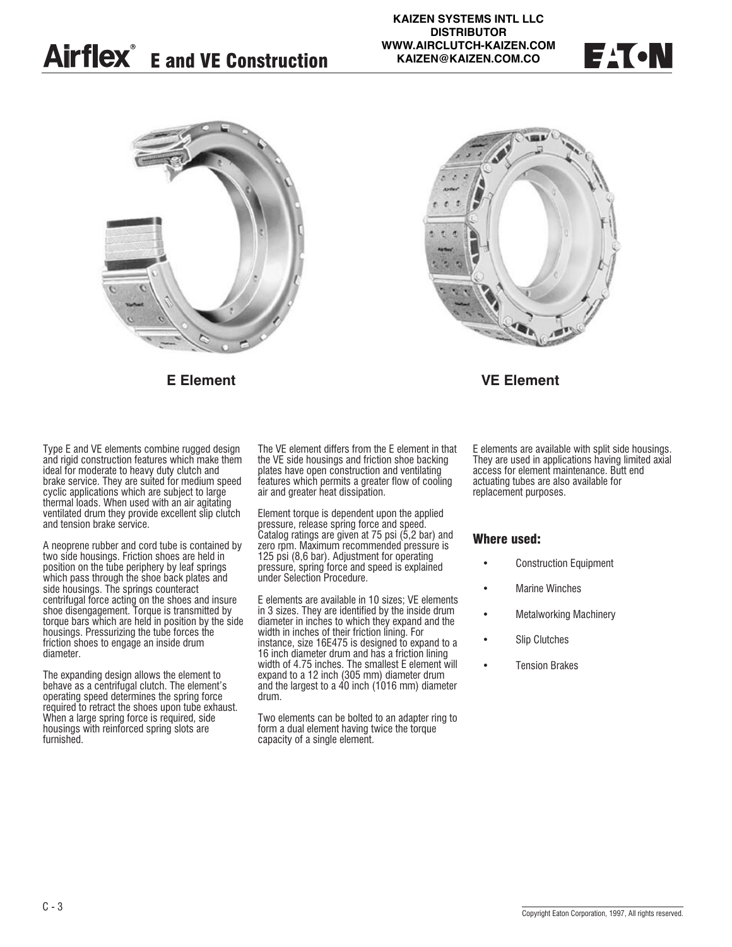





### **E Element VE Element**

Type E and VE elements combine rugged design and rigid construction features which make them ideal for moderate to heavy duty clutch and brake service. They are suited for medium speed cyclic applications which are subject to large thermal loads. When used with an air agitating ventilated drum they provide excellent slip clutch and tension brake service.

A neoprene rubber and cord tube is contained by two side housings. Friction shoes are held in position on the tube periphery by leaf springs which pass through the shoe back plates and side housings. The springs counteract centrifugal force acting on the shoes and insure shoe disengagement. Torque is transmitted by torque bars which are held in position by the side housings. Pressurizing the tube forces the friction shoes to engage an inside drum diameter.

The expanding design allows the element to behave as a centrifugal clutch. The element's operating speed determines the spring force required to retract the shoes upon tube exhaust. When a large spring force is required, side housings with reinforced spring slots are furnished.

The VE element differs from the E element in that the VE side housings and friction shoe backing plates have open construction and ventilating features which permits a greater flow of cooling air and greater heat dissipation.

Element torque is dependent upon the applied pressure, release spring force and speed. Catalog ratings are given at 75 psi (5,2 bar) and zero rpm. Maximum recommended pressure is 125 psi (8,6 bar). Adjustment for operating pressure, spring force and speed is explained under Selection Procedure.

E elements are available in 10 sizes; VE elements in 3 sizes. They are identified by the inside drum diameter in inches to which they expand and the width in inches of their friction lining. For instance, size 16E475 is designed to expand to a 16 inch diameter drum and has a friction lining width of 4.75 inches. The smallest E element will expand to a 12 inch (305 mm) diameter drum and the largest to a  $40$  inch (1016 mm) diameter drum.

Two elements can be bolted to an adapter ring to form a dual element having twice the torque capacity of a single element.

E elements are available with split side housings. They are used in applications having limited axial access for element maintenance. Butt end actuating tubes are also available for replacement purposes.

### **Where used:**

- Construction Equipment
- **Marine Winches**
- Metalworking Machinery
- Slip Clutches
- Tension Brakes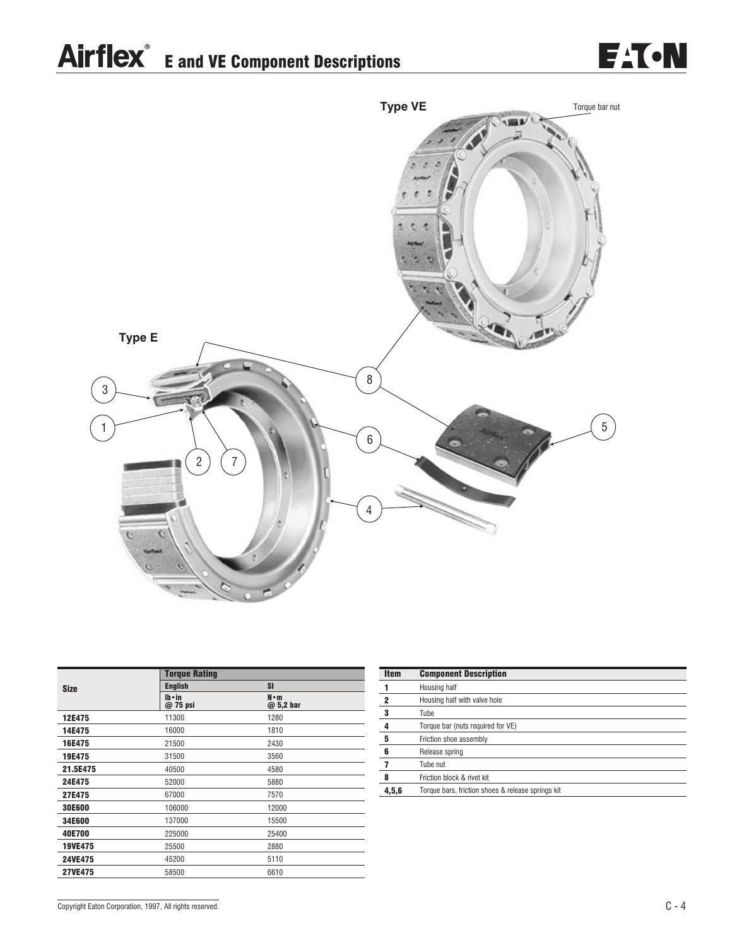## Airflex<sup>®</sup> E and VE Component Descriptions





| <b>Torque Rating</b>      |                          |
|---------------------------|--------------------------|
| <b>English</b>            | SI                       |
| $Ib \cdot in$<br>@ 75 psi | $N \cdot m$<br>@ 5,2 bar |
| 11300                     | 1280                     |
| 16000                     | 1810                     |
| 21500                     | 2430                     |
| 31500                     | 3560                     |
| 40500                     | 4580                     |
| 52000                     | 5880                     |
| 67000                     | 7570                     |
| 106000                    | 12000                    |
| 137000                    | 15500                    |
| 225000                    | 25400                    |
| 25500                     | 2880                     |
| 45200                     | 5110                     |
| 58500                     | 6610                     |
|                           |                          |

| <b>Item</b> | <b>Component Description</b>                      |
|-------------|---------------------------------------------------|
|             | Housing half                                      |
| 2           | Housing half with valve hole                      |
| 3           | Tube                                              |
| 4           | Torque bar (nuts required for VE)                 |
| 5           | Friction shoe assembly                            |
| 6           | Release spring                                    |
|             | Tube nut                                          |
| 8           | Friction block & rivet kit                        |
| 4,5,6       | Torque bars, friction shoes & release springs kit |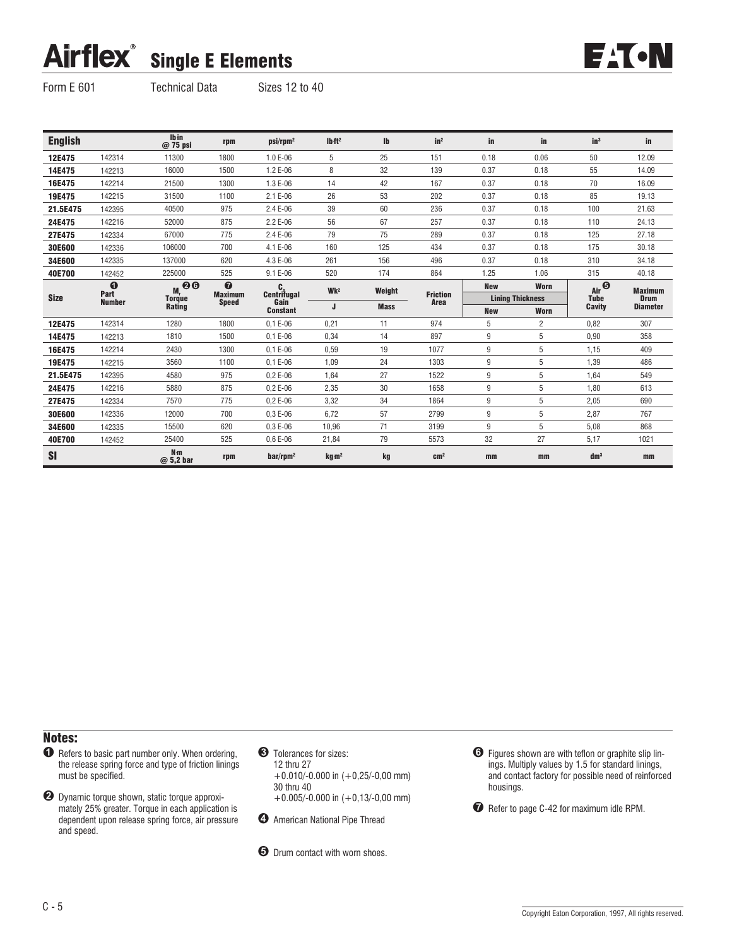# Airflex<sup>®</sup> Single E Elements



Form E 601 Technical Data Sizes 12 to 40

| <b>English</b> |                       | Ibin<br>@ 75 psi                                                                                        | rpm                            | $psi/rpm^2$              | Ibft <sup>2</sup> | $\mathsf{I}$ | in <sup>2</sup>         | in         | in                      | in <sup>3</sup> | in              |
|----------------|-----------------------|---------------------------------------------------------------------------------------------------------|--------------------------------|--------------------------|-------------------|--------------|-------------------------|------------|-------------------------|-----------------|-----------------|
| 12E475         | 142314                | 11300                                                                                                   | 1800                           | 1.0 E-06                 | 5                 | 25           | 151                     | 0.18       | 0.06                    | 50              | 12.09           |
| 14E475         | 142213                | 16000                                                                                                   | 1500                           | 1.2 E-06                 | 8                 | 32           | 139                     | 0.37       | 0.18                    | 55              | 14.09           |
| 16E475         | 142214                | 21500                                                                                                   | 1300                           | 1.3 E-06                 | 14                | 42           | 167                     | 0.37       | 0.18                    | 70              | 16.09           |
| 19E475         | 142215                | 31500                                                                                                   | 1100                           | 2.1 E-06                 | 26                | 53           | 202                     | 0.37       | 0.18                    | 85              | 19.13           |
| 21.5E475       | 142395                | 40500                                                                                                   | 975                            | 2.4 E-06                 | 39                | 60           | 236                     | 0.37       | 0.18                    | 100             | 21.63           |
| 24E475         | 142216                | 52000                                                                                                   | 875                            | 2.2 E-06                 | 56                | 67           | 257                     | 0.37       | 0.18                    | 110             | 24.13           |
| 27E475         | 142334                | 67000                                                                                                   | 775                            | 2.4 E-06                 | 79                | 75           | 289                     | 0.37       | 0.18                    | 125             | 27.18           |
| 30E600         | 142336                | 106000                                                                                                  | 700                            | 4.1 E-06                 | 160               | 125          | 434                     | 0.37       | 0.18                    | 175             | 30.18           |
| 34E600         | 142335                | 137000                                                                                                  | 620                            | 4.3 E-06                 | 261               | 156          | 496                     | 0.37       | 0.18                    | 310             | 34.18           |
| 40E700         | 142452                | 225000                                                                                                  | 525                            | 9.1 E-06                 | 520               | 174          | 864                     | 1.25       | 1.06                    | 315             | 40.18           |
|                | $\bf{o}$              | $\begin{array}{c}\n\overline{M_r} & \bigodot \textbf{O} \\ \text{Torique} & \text{Rating}\n\end{array}$ | $\bullet$                      | $C_{\text{centrifugal}}$ | Wk <sup>2</sup>   | Weight       |                         | <b>New</b> | Worn                    | Air             | <b>Maximum</b>  |
| <b>Size</b>    | Part<br><b>Number</b> |                                                                                                         | <b>Maximum</b><br><b>Speed</b> | Gain                     |                   |              | <b>Friction</b><br>Area |            | <b>Lining Thickness</b> | <b>Tube</b>     | <b>Drum</b>     |
|                |                       |                                                                                                         |                                | <b>Constant</b>          | J                 | <b>Mass</b>  |                         | <b>New</b> | <b>Worn</b>             | Cavity          | <b>Diameter</b> |
| 12E475         | 142314                | 1280                                                                                                    | 1800                           | $0.1 E - 06$             | 0,21              | 11           | 974                     | 5          | $\overline{c}$          | 0.82            | 307             |
| 14E475         | 142213                | 1810                                                                                                    | 1500                           | $0.1 E-06$               | 0,34              | 14           | 897                     | 9          | 5                       | 0,90            | 358             |
| 16E475         | 142214                | 2430                                                                                                    | 1300                           | $0.1 E-06$               | 0,59              | 19           | 1077                    | 9          | 5                       | 1,15            | 409             |
| 19E475         | 142215                | 3560                                                                                                    | 1100                           | $0.1 E-06$               | 1,09              | 24           | 1303                    | 9          | 5                       | 1,39            | 486             |
| 21.5E475       | 142395                | 4580                                                                                                    | 975                            | $0.2E - 06$              | 1,64              | 27           | 1522                    | 9          | 5                       | 1,64            | 549             |
| 24E475         | 142216                | 5880                                                                                                    | 875                            | $0.2E - 06$              | 2,35              | 30           | 1658                    | 9          | 5                       | 1,80            | 613             |
| 27E475         | 142334                | 7570                                                                                                    | 775                            | $0.2E - 06$              | 3,32              | 34           | 1864                    | 9          | 5                       | 2,05            | 690             |
| 30E600         | 142336                | 12000                                                                                                   | 700                            | $0.3E - 06$              | 6,72              | 57           | 2799                    | 9          | 5                       | 2,87            | 767             |
| 34E600         | 142335                | 15500                                                                                                   | 620                            | $0.3E - 06$              | 10,96             | 71           | 3199                    | 9          | 5                       | 5,08            | 868             |
| 40E700         | 142452                | 25400                                                                                                   | 525                            | $0.6E - 06$              | 21,84             | 79           | 5573                    | 32         | 27                      | 5,17            | 1021            |
| <b>SI</b>      |                       | $N_{\rm m}$<br>@ 5,2 bar                                                                                | rpm                            | $bar/$ rpm <sup>2</sup>  | kg m <sup>2</sup> | kg           | cm <sup>2</sup>         | mm         | mm                      | dm <sup>3</sup> | mm              |

### Notes:

- $\bullet$  Refers to basic part number only. When ordering, the release spring force and type of friction linings must be specified.
- ! Dynamic torque shown, static torque approximately 25% greater. Torque in each application is dependent upon release spring force, air pressure and speed.
- **8** Tolerances for sizes: 12 thru 27 +0.010/-0.000 in (+0,25/-0,00 mm) 30 thru 40  $+0.005/-0.000$  in  $(+0.13/-0.00$  mm)
- $\bullet$  American National Pipe Thread

 $\Theta$  Drum contact with worn shoes.

% Figures shown are with teflon or graphite slip linings. Multiply values by 1.5 for standard linings, and contact factory for possible need of reinforced housings.

 $\bullet$  Refer to page C-42 for maximum idle RPM.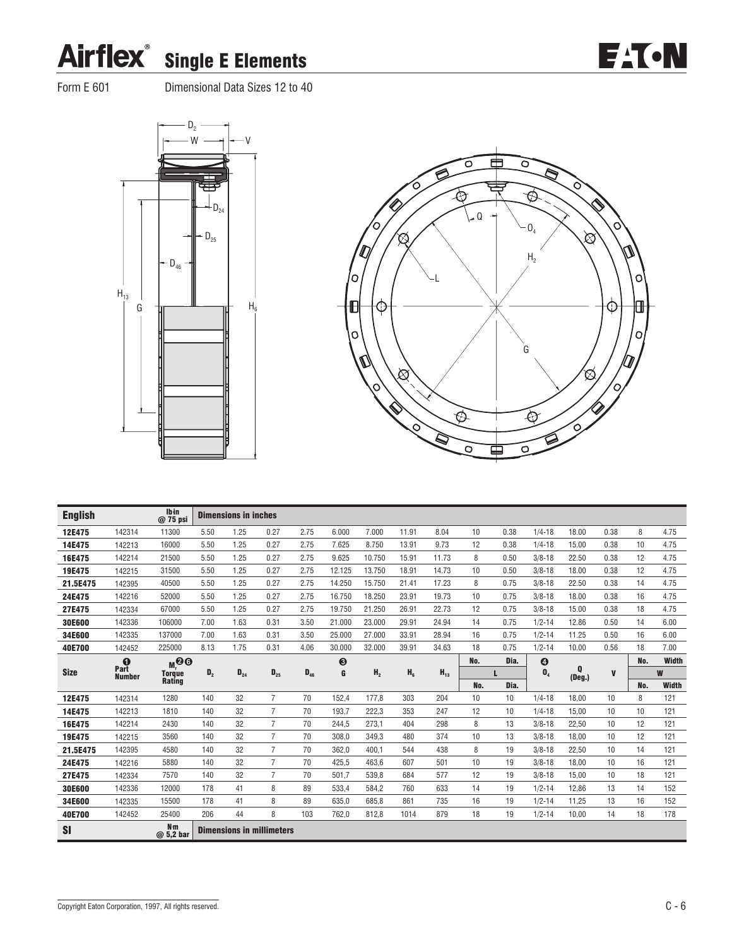

Form E 601 Dimensional Data Sizes 12 to 40





**EATON** 

| <b>English</b> |               | Ibin<br>$@75$ psi           |                | <b>Dimensions in inches</b>      |                |          |        |                |                |          |     |      |                       |                          |              |     |              |
|----------------|---------------|-----------------------------|----------------|----------------------------------|----------------|----------|--------|----------------|----------------|----------|-----|------|-----------------------|--------------------------|--------------|-----|--------------|
| 12E475         | 142314        | 11300                       | 5.50           | 1.25                             | 0.27           | 2.75     | 6.000  | 7.000          | 11.91          | 8.04     | 10  | 0.38 | $1/4 - 18$            | 18.00                    | 0.38         | 8   | 4.75         |
| 14E475         | 142213        | 16000                       | 5.50           | 1.25                             | 0.27           | 2.75     | 7.625  | 8.750          | 13.91          | 9.73     | 12  | 0.38 | $1/4 - 18$            | 15.00                    | 0.38         | 10  | 4.75         |
| 16E475         | 142214        | 21500                       | 5.50           | 1.25                             | 0.27           | 2.75     | 9.625  | 10.750         | 15.91          | 11.73    | 8   | 0.50 | $3/8 - 18$            | 22.50                    | 0.38         | 12  | 4.75         |
| 19E475         | 142215        | 31500                       | 5.50           | 1.25                             | 0.27           | 2.75     | 12.125 | 13.750         | 18.91          | 14.73    | 10  | 0.50 | $3/8 - 18$            | 18.00                    | 0.38         | 12  | 4.75         |
| 21.5E475       | 142395        | 40500                       | 5.50           | 1.25                             | 0.27           | 2.75     | 14.250 | 15.750         | 21.41          | 17.23    | 8   | 0.75 | $3/8 - 18$            | 22.50                    | 0.38         | 14  | 4.75         |
| 24E475         | 142216        | 52000                       | 5.50           | 1.25                             | 0.27           | 2.75     | 16.750 | 18.250         | 23.91          | 19.73    | 10  | 0.75 | $3/8 - 18$            | 18.00                    | 0.38         | 16  | 4.75         |
| 27E475         | 142334        | 67000                       | 5.50           | 1.25                             | 0.27           | 2.75     | 19.750 | 21.250         | 26.91          | 22.73    | 12  | 0.75 | $3/8 - 18$            | 15.00                    | 0.38         | 18  | 4.75         |
| <b>30E600</b>  | 142336        | 106000                      | 7.00           | 1.63                             | 0.31           | 3.50     | 21.000 | 23,000         | 29.91          | 24.94    | 14  | 0.75 | $1/2 - 14$            | 12.86                    | 0.50         | 14  | 6.00         |
| 34E600         | 142335        | 137000                      | 7.00           | 1.63                             | 0.31           | 3.50     | 25,000 | 27.000         | 33.91          | 28.94    | 16  | 0.75 | $1/2 - 14$            | 11.25                    | 0.50         | 16  | 6.00         |
| 40E700         | 142452        | 225000                      | 8.13           | 1.75                             | 0.31           | 4.06     | 30.000 | 32.000         | 39.91          | 34.63    | 18  | 0.75 | $1/2 - 14$            | 10.00                    | 0.56         | 18  | 7.00         |
|                | Part          | M <sub>1</sub>              |                |                                  |                |          | ❸      |                |                |          | No. | Dia. | $\boldsymbol{\Theta}$ |                          |              | No. | Width        |
| <b>Size</b>    | <b>Number</b> | <b>Torque</b><br>Rating     | D <sub>2</sub> | $D_{24}$                         | $D_{25}$       | $D_{46}$ | G      | H <sub>2</sub> | H <sub>6</sub> | $H_{13}$ |     | п    | $\mathbf{0}_4$        | $\bf{0}$<br>$($ Deg. $)$ | $\mathbf{V}$ |     | W            |
|                |               |                             |                |                                  |                |          |        |                |                |          | No. | Dia. |                       |                          |              | No. | <b>Width</b> |
| 12E475         | 142314        | 1280                        | 140            | 32                               | 7              | 70       | 152,4  | 177,8          | 303            | 204      | 10  | 10   | $1/4 - 18$            | 18.00                    | 10           | 8   | 121          |
| 14E475         | 142213        | 1810                        | 140            | 32                               | $\overline{7}$ | 70       | 193.7  | 222.3          | 353            | 247      | 12  | 10   | $1/4 - 18$            | 15.00                    | 10           | 10  | 121          |
| 16E475         | 142214        | 2430                        | 140            | 32                               | $\overline{7}$ | 70       | 244,5  | 273,1          | 404            | 298      | 8   | 13   | $3/8 - 18$            | 22,50                    | 10           | 12  | 121          |
| 19E475         | 142215        | 3560                        | 140            | 32                               | $\overline{7}$ | 70       | 308.0  | 349.3          | 480            | 374      | 10  | 13   | $3/8 - 18$            | 18.00                    | 10           | 12  | 121          |
| 21.5E475       | 142395        | 4580                        | 140            | 32                               | $\overline{7}$ | 70       | 362.0  | 400.1          | 544            | 438      | 8   | 19   | $3/8 - 18$            | 22.50                    | 10           | 14  | 121          |
| 24E475         | 142216        | 5880                        | 140            | 32                               | $\overline{7}$ | 70       | 425,5  | 463.6          | 607            | 501      | 10  | 19   | $3/8 - 18$            | 18.00                    | 10           | 16  | 121          |
| 27E475         | 142334        | 7570                        | 140            | 32                               | $\overline{7}$ | 70       | 501,7  | 539,8          | 684            | 577      | 12  | 19   | $3/8 - 18$            | 15,00                    | 10           | 18  | 121          |
| 30E600         | 142336        | 12000                       | 178            | 41                               | 8              | 89       | 533.4  | 584.2          | 760            | 633      | 14  | 19   | $1/2 - 14$            | 12.86                    | 13           | 14  | 152          |
| 34E600         | 142335        | 15500                       | 178            | 41                               | 8              | 89       | 635,0  | 685,8          | 861            | 735      | 16  | 19   | $1/2 - 14$            | 11,25                    | 13           | 16  | 152          |
| 40E700         | 142452        | 25400                       | 206            | 44                               | 8              | 103      | 762,0  | 812,8          | 1014           | 879      | 18  | 19   | $1/2 - 14$            | 10,00                    | 14           | 18  | 178          |
| <b>SI</b>      |               | N <sub>m</sub><br>@ 5,2 bar |                | <b>Dimensions in millimeters</b> |                |          |        |                |                |          |     |      |                       |                          |              |     |              |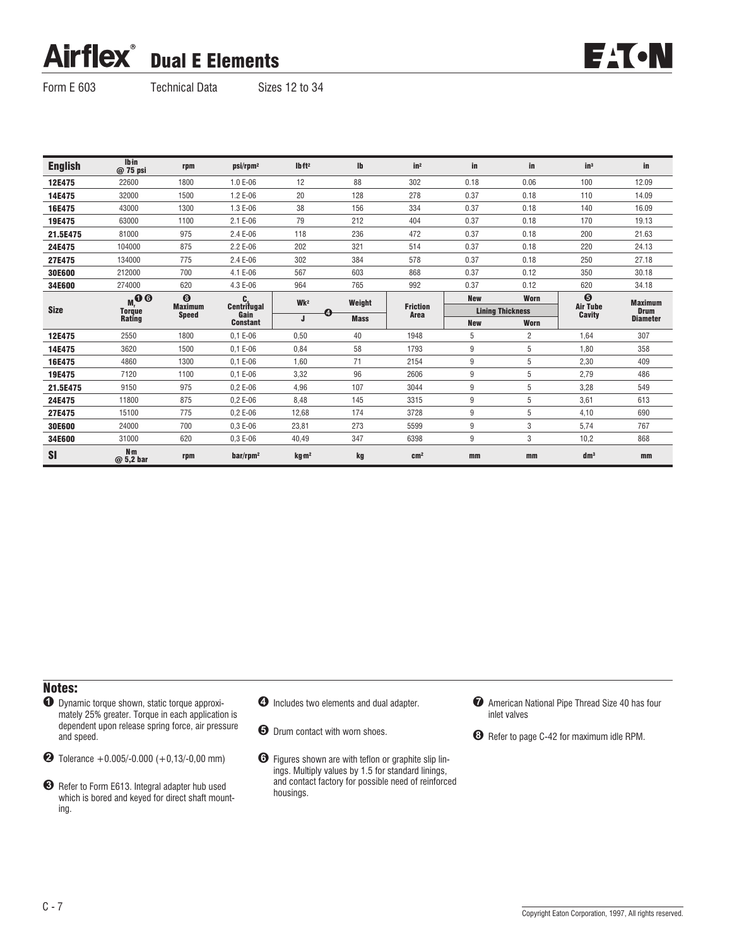### **Airflex®** Dual E Elements



Form E 603 Technical Data Sizes 12 to 34

| <b>English</b> | <b>lb</b> in<br>@ 75 psi | rpm                            | psi/rpm <sup>2</sup> | Ibft <sup>2</sup> | Ib          | in <sup>2</sup>         | in         | in                      | $in^3$                           | in              |
|----------------|--------------------------|--------------------------------|----------------------|-------------------|-------------|-------------------------|------------|-------------------------|----------------------------------|-----------------|
| 12E475         | 22600                    | 1800                           | 1.0 E-06             | 12                | 88          | 302                     | 0.18       | 0.06                    | 100                              | 12.09           |
| 14E475         | 32000                    | 1500                           | 1.2 E-06             | 20                | 128         | 278                     | 0.37       | 0.18                    | 110                              | 14.09           |
| 16E475         | 43000                    | 1300                           | 1.3 E-06             | 38                | 156         | 334                     | 0.37       | 0.18                    | 140                              | 16.09           |
| 19E475         | 63000                    | 1100                           | 2.1 E-06             | 79                | 212         | 404                     | 0.37       | 0.18                    | 170                              | 19.13           |
| 21.5E475       | 81000                    | 975                            | 2.4 E-06             | 118               | 236         | 472                     | 0.37       | 0.18                    | 200                              | 21.63           |
| 24E475         | 104000                   | 875                            | 2.2 E-06             | 202               | 321         | 514                     | 0.37       | 0.18                    | 220                              | 24.13           |
| 27E475         | 134000                   | 775                            | 2.4 E-06             | 302               | 384         | 578                     | 0.37       | 0.18                    | 250                              | 27.18           |
| 30E600         | 212000                   | 700                            | 4.1 E-06             | 567               | 603         | 868                     | 0.37       | 0.12                    | 350                              | 30.18           |
| 34E600         | 274000                   | 620                            | 4.3 E-06             | 964               | 765         | 992                     | 0.37       | 0.12                    | 620                              | 34.18           |
| <b>Size</b>    | $M_{M}^{\bullet}$        | $\odot$                        |                      | Wk <sup>2</sup>   | Weight      |                         | <b>New</b> | Worn                    | $\boldsymbol{\Theta}$            | <b>Maximum</b>  |
|                | <b>Torque</b><br>Rating  | <b>Maximum</b><br><b>Speed</b> | Centritugal<br>Gain  | ί4.               |             | <b>Friction</b><br>Area |            | <b>Lining Thickness</b> | <b>Air Tube</b><br><b>Cavity</b> | <b>Drum</b>     |
|                |                          |                                | <b>Constant</b>      |                   | <b>Mass</b> |                         | <b>New</b> | Worn                    |                                  | <b>Diameter</b> |
| 12E475         | 2550                     | 1800                           | $0.1 E-06$           | 0,50              | 40          | 1948                    | 5          | $\overline{c}$          | 1,64                             | 307             |
| 14E475         | 3620                     | 1500                           | $0.1 E-06$           | 0,84              | 58          | 1793                    | 9          | 5                       | 1,80                             | 358             |
| 16E475         | 4860                     | 1300                           | $0.1 E-06$           | 1.60              | 71          | 2154                    | 9          | 5                       | 2,30                             | 409             |
| 19E475         | 7120                     | 1100                           | $0.1 E-06$           | 3,32              | 96          | 2606                    | 9          | 5                       | 2,79                             | 486             |
| 21.5E475       | 9150                     | 975                            | $0.2E - 06$          | 4,96              | 107         | 3044                    | 9          | 5                       | 3,28                             | 549             |
| 24E475         | 11800                    | 875                            | $0.2E - 06$          | 8,48              | 145         | 3315                    | 9          | 5                       | 3,61                             | 613             |
| 27E475         | 15100                    | 775                            | $0.2E - 06$          | 12,68             | 174         | 3728                    | 9          | 5                       | 4,10                             | 690             |
|                |                          |                                |                      |                   |             |                         |            |                         |                                  |                 |
| 30E600         | 24000                    | 700                            | $0.3E - 06$          | 23,81             | 273         | 5599                    | 9          | 3                       | 5,74                             | 767             |
| 34E600         | 31000                    | 620                            | $0.3E - 06$          | 40,49             | 347         | 6398                    | 9          | 3                       | 10,2                             | 868             |

### Notes:

 $\bullet$  Dynamic torque shown, static torque approximately 25% greater. Torque in each application is dependent upon release spring force, air pressure and speed.

 $\bullet$  Tolerance +0.005/-0.000 (+0,13/-0,00 mm)

- $\bullet$  Includes two elements and dual adapter.
- $\Theta$  Drum contact with worn shoes.
- % Figures shown are with teflon or graphite slip linings. Multiply values by 1.5 for standard linings, and contact factory for possible need of reinforced housings.
- $\bullet$  American National Pipe Thread Size 40 has four inlet valves

( Refer to page C-42 for maximum idle RPM.

<sup>&</sup>amp; Refer to Form E613. Integral adapter hub used which is bored and keyed for direct shaft mounting.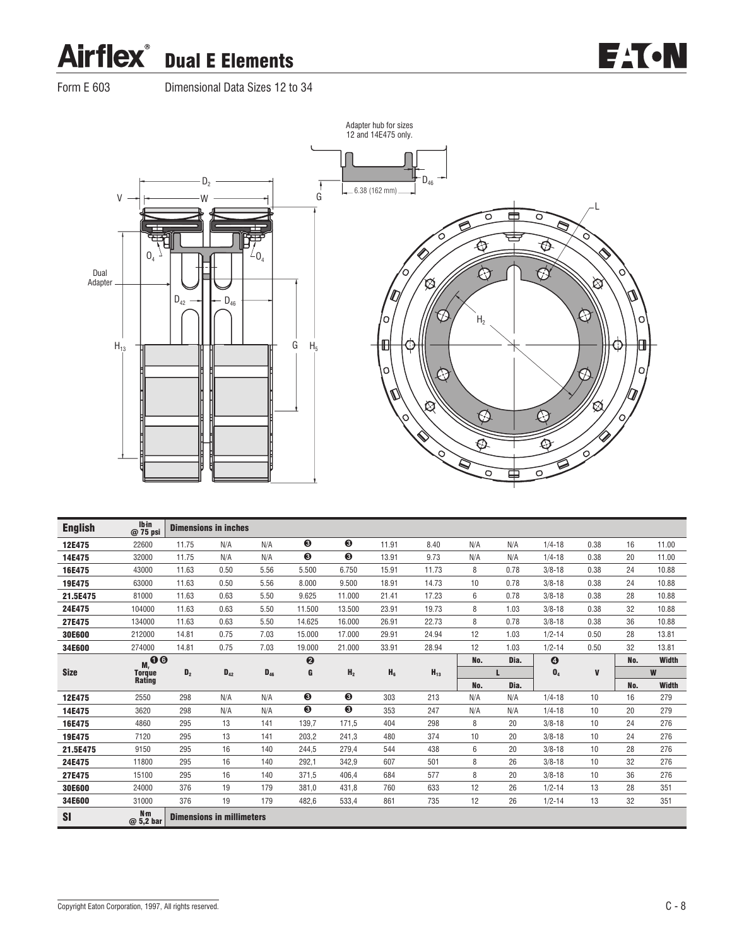### **Airflex** Dual E Elements



Form E 603 Dimensional Data Sizes 12 to 34



| <b>English</b> | Ib in<br>@ 75 psi           |                | <b>Dimensions in inches</b>      |          |                       |                |       |          |     |      |                       |      |     |              |
|----------------|-----------------------------|----------------|----------------------------------|----------|-----------------------|----------------|-------|----------|-----|------|-----------------------|------|-----|--------------|
| 12E475         | 22600                       | 11.75          | N/A                              | N/A      | ❸                     | ❸              | 11.91 | 8.40     | N/A | N/A  | $1/4 - 18$            | 0.38 | 16  | 11.00        |
| 14E475         | 32000                       | 11.75          | N/A                              | N/A      | ❸                     | ❸              | 13.91 | 9.73     | N/A | N/A  | $1/4 - 18$            | 0.38 | 20  | 11.00        |
| 16E475         | 43000                       | 11.63          | 0.50                             | 5.56     | 5.500                 | 6.750          | 15.91 | 11.73    | 8   | 0.78 | $3/8 - 18$            | 0.38 | 24  | 10.88        |
| 19E475         | 63000                       | 11.63          | 0.50                             | 5.56     | 8.000                 | 9.500          | 18.91 | 14.73    | 10  | 0.78 | $3/8 - 18$            | 0.38 | 24  | 10.88        |
| 21.5E475       | 81000                       | 11.63          | 0.63                             | 5.50     | 9.625                 | 11.000         | 21.41 | 17.23    | 6   | 0.78 | $3/8 - 18$            | 0.38 | 28  | 10.88        |
| 24E475         | 104000                      | 11.63          | 0.63                             | 5.50     | 11.500                | 13.500         | 23.91 | 19.73    | 8   | 1.03 | $3/8 - 18$            | 0.38 | 32  | 10.88        |
| 27E475         | 134000                      | 11.63          | 0.63                             | 5.50     | 14.625                | 16.000         | 26.91 | 22.73    | 8   | 0.78 | $3/8 - 18$            | 0.38 | 36  | 10.88        |
| 30E600         | 212000                      | 14.81          | 0.75                             | 7.03     | 15.000                | 17.000         | 29.91 | 24.94    | 12  | 1.03 | $1/2 - 14$            | 0.50 | 28  | 13.81        |
| 34E600         | 274000                      | 14.81          | 0.75                             | 7.03     | 19.000                | 21.000         | 33.91 | 28.94    | 12  | 1.03 | $1/2 - 14$            | 0.50 | 32  | 13.81        |
|                | $M_{\rm M}$ 00              |                |                                  |          | $\boldsymbol{\Theta}$ |                |       |          | No. | Dia. | $\boldsymbol{\Theta}$ |      | No. | <b>Width</b> |
| <b>Size</b>    | <b>Torque</b><br>Rating     | D <sub>2</sub> | $D_{42}$                         | $D_{46}$ | G                     | H <sub>2</sub> | $H_6$ | $H_{13}$ |     |      | $\mathbf{0}_4$        | V    |     | W            |
|                |                             |                |                                  |          |                       |                |       |          | No. | Dia. |                       |      | No. | <b>Width</b> |
| 12E475         | 2550                        | 298            | N/A                              | N/A      | ❸                     | ❸              | 303   | 213      | N/A | N/A  | $1/4 - 18$            | 10   | 16  | 279          |
| 14E475         | 3620                        | 298            | N/A                              | N/A      | ❸                     | ❸              | 353   | 247      | N/A | N/A  | $1/4 - 18$            | 10   | 20  | 279          |
| 16E475         | 4860                        | 295            | 13                               | 141      | 139,7                 | 171.5          | 404   | 298      | 8   | 20   | $3/8 - 18$            | 10   | 24  | 276          |
| 19E475         | 7120                        | 295            | 13                               | 141      | 203,2                 | 241,3          | 480   | 374      | 10  | 20   | $3/8 - 18$            | 10   | 24  | 276          |
| 21.5E475       | 9150                        | 295            | 16                               | 140      | 244.5                 | 279.4          | 544   | 438      | 6   | 20   | $3/8 - 18$            | 10   | 28  | 276          |
| 24E475         | 11800                       | 295            | 16                               | 140      | 292,1                 | 342,9          | 607   | 501      | 8   | 26   | $3/8 - 18$            | 10   | 32  | 276          |
| 27E475         | 15100                       | 295            | 16                               | 140      | 371.5                 | 406.4          | 684   | 577      | 8   | 20   | $3/8 - 18$            | 10   | 36  | 276          |
| 30E600         | 24000                       | 376            | 19                               | 179      | 381.0                 | 431,8          | 760   | 633      | 12  | 26   | $1/2 - 14$            | 13   | 28  | 351          |
| 34E600         | 31000                       | 376            | 19                               | 179      | 482,6                 | 533,4          | 861   | 735      | 12  | 26   | $1/2 - 14$            | 13   | 32  | 351          |
| SI             | N <sub>m</sub><br>@ 5,2 bar |                | <b>Dimensions in millimeters</b> |          |                       |                |       |          |     |      |                       |      |     |              |

Copyright Eaton Corporation, 1997, All rights reserved. C-8

**EAT-N**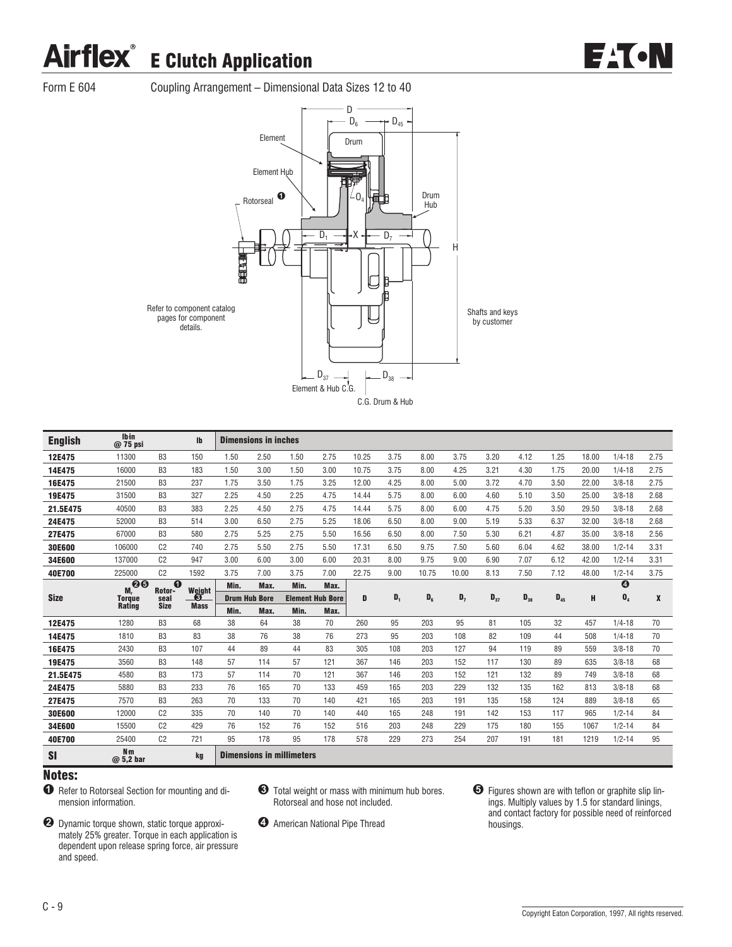

Form E 604 Coupling Arrangement – Dimensional Data Sizes 12 to 40



| <b>English</b> | Ibin<br>@ 75 psi             |                    | $\mathbf{I}$ |      | <b>Dimensions in inches</b> |                                  |                         |       |       |       |       |          |          |          |       |                  |      |
|----------------|------------------------------|--------------------|--------------|------|-----------------------------|----------------------------------|-------------------------|-------|-------|-------|-------|----------|----------|----------|-------|------------------|------|
| 12E475         | 11300                        | B <sub>3</sub>     | 150          | 1.50 | 2.50                        | 1.50                             | 2.75                    | 10.25 | 3.75  | 8.00  | 3.75  | 3.20     | 4.12     | 1.25     | 18.00 | $1/4 - 18$       | 2.75 |
| 14E475         | 16000                        | B <sub>3</sub>     | 183          | 1.50 | 3.00                        | 1.50                             | 3.00                    | 10.75 | 3.75  | 8.00  | 4.25  | 3.21     | 4.30     | 1.75     | 20.00 | $1/4 - 18$       | 2.75 |
| 16E475         | 21500                        | B <sub>3</sub>     | 237          | 1.75 | 3.50                        | 1.75                             | 3.25                    | 12.00 | 4.25  | 8.00  | 5.00  | 3.72     | 4.70     | 3.50     | 22.00 | $3/8 - 18$       | 2.75 |
| 19E475         | 31500                        | B <sub>3</sub>     | 327          | 2.25 | 4.50                        | 2.25                             | 4.75                    | 14.44 | 5.75  | 8.00  | 6.00  | 4.60     | 5.10     | 3.50     | 25.00 | $3/8 - 18$       | 2.68 |
| 21.5E475       | 40500                        | B <sub>3</sub>     | 383          | 2.25 | 4.50                        | 2.75                             | 4.75                    | 14.44 | 5.75  | 8.00  | 6.00  | 4.75     | 5.20     | 3.50     | 29.50 | $3/8 - 18$       | 2.68 |
| 24E475         | 52000                        | B <sub>3</sub>     | 514          | 3.00 | 6.50                        | 2.75                             | 5.25                    | 18.06 | 6.50  | 8.00  | 9.00  | 5.19     | 5.33     | 6.37     | 32.00 | $3/8 - 18$       | 2.68 |
| 27E475         | 67000                        | B <sub>3</sub>     | 580          | 2.75 | 5.25                        | 2.75                             | 5.50                    | 16.56 | 6.50  | 8.00  | 7.50  | 5.30     | 6.21     | 4.87     | 35.00 | $3/8 - 18$       | 2.56 |
| 30E600         | 106000                       | C <sub>2</sub>     | 740          | 2.75 | 5.50                        | 2.75                             | 5.50                    | 17.31 | 6.50  | 9.75  | 7.50  | 5.60     | 6.04     | 4.62     | 38.00 | $1/2 - 14$       | 3.31 |
| 34E600         | 137000                       | C <sub>2</sub>     | 947          | 3.00 | 6.00                        | 3.00                             | 6.00                    | 20.31 | 8.00  | 9.75  | 9.00  | 6.90     | 7.07     | 6.12     | 42.00 | $1/2 - 14$       | 3.31 |
| 40E700         | 225000                       | C <sub>2</sub>     | 1592         | 3.75 | 7.00                        | 3.75                             | 7.00                    | 22.75 | 9.00  | 10.75 | 10.00 | 8.13     | 7.50     | 7.12     | 48.00 | $1/2 - 14$       | 3.75 |
|                | 00<br>M.                     | $\Omega$<br>Rotor- | Weight       | Min. | Max.                        | Min.                             | Max.                    |       |       |       |       |          |          |          |       | $\boldsymbol{0}$ |      |
| <b>Size</b>    | <b>Torque</b>                | seal               | -0           |      | <b>Drum Hub Bore</b>        |                                  | <b>Element Hub Bore</b> | D     | $D_1$ | $D_6$ | $D_7$ | $D_{37}$ | $D_{38}$ | $D_{45}$ | н     | $\mathbf{0}_4$   | X    |
|                | <b>Rating</b>                | <b>Size</b>        | <b>Mass</b>  | Min. | Max.                        | Min.                             | Max.                    |       |       |       |       |          |          |          |       |                  |      |
| 12E475         | 1280                         | B <sub>3</sub>     | 68           | 38   | 64                          | 38                               | 70                      | 260   | 95    | 203   | 95    | 81       | 105      | 32       | 457   | $1/4 - 18$       | 70   |
| 14E475         | 1810                         | B <sub>3</sub>     | 83           | 38   | 76                          | 38                               | 76                      | 273   | 95    | 203   | 108   | 82       | 109      | 44       | 508   | $1/4 - 18$       | 70   |
| 16E475         | 2430                         | B <sub>3</sub>     | 107          | 44   | 89                          | 44                               | 83                      | 305   | 108   | 203   | 127   | 94       | 119      | 89       | 559   | $3/8 - 18$       | 70   |
| 19E475         | 3560                         | B <sub>3</sub>     | 148          | 57   | 114                         | 57                               | 121                     | 367   | 146   | 203   | 152   | 117      | 130      | 89       | 635   | $3/8 - 18$       | 68   |
| 21.5E475       | 4580                         | B <sub>3</sub>     | 173          | 57   | 114                         | 70                               | 121                     | 367   | 146   | 203   | 152   | 121      | 132      | 89       | 749   | $3/8 - 18$       | 68   |
| 24E475         | 5880                         | B <sub>3</sub>     | 233          | 76   | 165                         | 70                               | 133                     | 459   | 165   | 203   | 229   | 132      | 135      | 162      | 813   | $3/8 - 18$       | 68   |
| 27E475         | 7570                         | B <sub>3</sub>     | 263          | 70   | 133                         | 70                               | 140                     | 421   | 165   | 203   | 191   | 135      | 158      | 124      | 889   | $3/8 - 18$       | 65   |
| 30E600         | 12000                        | C <sub>2</sub>     | 335          | 70   | 140                         | 70                               | 140                     | 440   | 165   | 248   | 191   | 142      | 153      | 117      | 965   | $1/2 - 14$       | 84   |
| 34E600         | 15500                        | C <sub>2</sub>     | 429          | 76   | 152                         | 76                               | 152                     | 516   | 203   | 248   | 229   | 175      | 180      | 155      | 1067  | $1/2 - 14$       | 84   |
| 40E700         | 25400                        | C <sub>2</sub>     | 721          | 95   | 178                         | 95                               | 178                     | 578   | 229   | 273   | 254   | 207      | 191      | 181      | 1219  | $1/2 - 14$       | 95   |
| SI             | N <sub>m</sub><br>$@5,2$ bar |                    | kg           |      |                             | <b>Dimensions in millimeters</b> |                         |       |       |       |       |          |          |          |       |                  |      |

- $\bullet$  Refer to Rotorseal Section for mounting and dimension information.
- **2** Dynamic torque shown, static torque approximately 25% greater. Torque in each application is dependent upon release spring force, air pressure and speed.
- & Total weight or mass with minimum hub bores. Rotorseal and hose not included.
- $\bullet$  American National Pipe Thread
- $\Theta$  Figures shown are with teflon or graphite slip linings. Multiply values by 1.5 for standard linings, and contact factory for possible need of reinforced housings.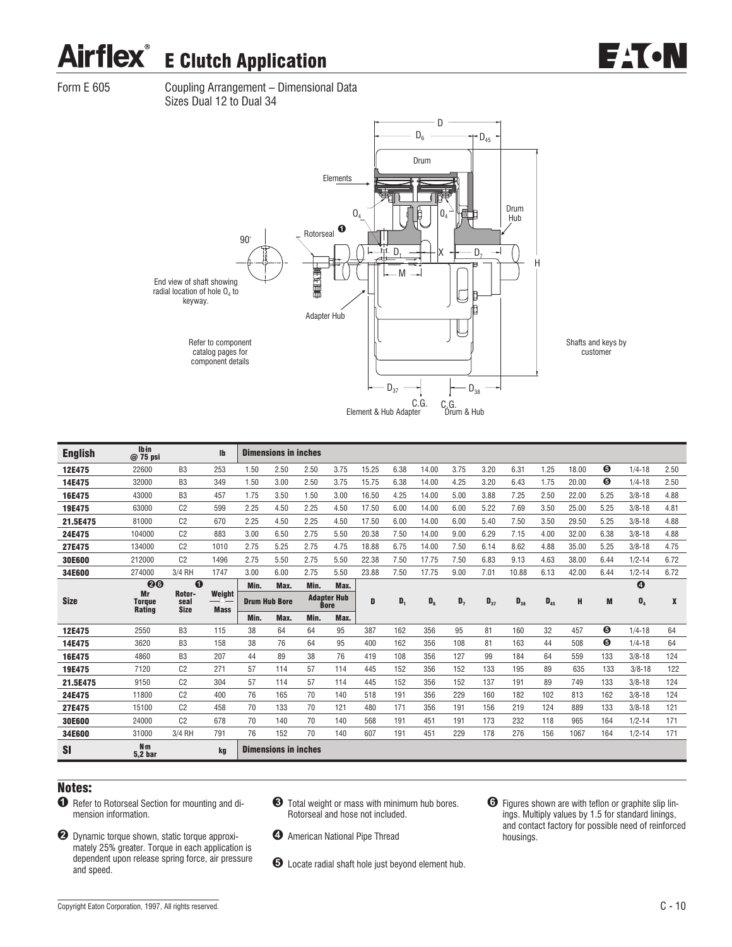

Form E 605 Coupling Arrangement – Dimensional Data Sizes Dual 12 to Dual 34



| <b>English</b> | <b>Ibin</b><br>$@75$ psi         |                               | Ib                         |                      | <b>Dimensions in inches</b> |             |                    |       |       |         |       |          |          |          |       |      |                       |      |
|----------------|----------------------------------|-------------------------------|----------------------------|----------------------|-----------------------------|-------------|--------------------|-------|-------|---------|-------|----------|----------|----------|-------|------|-----------------------|------|
| 12E475         | 22600                            | B <sub>3</sub>                | 253                        | 1.50                 | 2.50                        | 2.50        | 3.75               | 15.25 | 6.38  | 14.00   | 3.75  | 3.20     | 6.31     | 1.25     | 18.00 | ❺    | $1/4 - 18$            | 2.50 |
| 14E475         | 32000                            | B <sub>3</sub>                | 349                        | 1.50                 | 3.00                        | 2.50        | 3.75               | 15.75 | 6.38  | 14.00   | 4.25  | 3.20     | 6.43     | 1.75     | 20.00 | Θ    | $1/4 - 18$            | 2.50 |
| 16E475         | 43000                            | B <sub>3</sub>                | 457                        | 1.75                 | 3.50                        | 1.50        | 3.00               | 16.50 | 4.25  | 14.00   | 5.00  | 3.88     | 7.25     | 2.50     | 22.00 | 5.25 | $3/8 - 18$            | 4.88 |
| 19E475         | 63000                            | C <sub>2</sub>                | 599                        | 2.25                 | 4.50                        | 2.25        | 4.50               | 17.50 | 6.00  | 14.00   | 6.00  | 5.22     | 7.69     | 3.50     | 25.00 | 5.25 | $3/8 - 18$            | 4.81 |
| 21.5E475       | 81000                            | C <sub>2</sub>                | 670                        | 2.25                 | 4.50                        | 2.25        | 4.50               | 17.50 | 6.00  | 14.00   | 6.00  | 5.40     | 7.50     | 3.50     | 29.50 | 5.25 | $3/8 - 18$            | 4.88 |
| 24E475         | 104000                           | C <sub>2</sub>                | 883                        | 3.00                 | 6.50                        | 2.75        | 5.50               | 20.38 | 7.50  | 14.00   | 9.00  | 6.29     | 7.15     | 4.00     | 32.00 | 6.38 | $3/8 - 18$            | 4.88 |
| 27E475         | 134000                           | C <sub>2</sub>                | 1010                       | 2.75                 | 5.25                        | 2.75        | 4.75               | 18.88 | 6.75  | 14.00   | 7.50  | 6.14     | 8.62     | 4.88     | 35.00 | 5.25 | $3/8 - 18$            | 4.75 |
| 30E600         | 212000                           | C <sub>2</sub>                | 1496                       | 2.75                 | 5.50                        | 2.75        | 5.50               | 22.38 | 7.50  | 17.75   | 7.50  | 6.83     | 9.13     | 4.63     | 38.00 | 6.44 | $1/2 - 14$            | 6.72 |
| 34E600         | 274000                           | 3/4 RH                        | 1747                       | 3.00                 | 6.00                        | 2.75        | 5.50               | 23.88 | 7.50  | 17.75   | 9.00  | 7.01     | 10.88    | 6.13     | 42.00 | 6.44 | $1/2 - 14$            | 6.72 |
|                | 20                               | $\bf{O}$                      |                            | Min.                 | Max.                        | Min.        | Max.               |       |       |         |       |          |          |          |       |      | $\boldsymbol{\Theta}$ |      |
| <b>Size</b>    | Mr<br><b>Torque</b>              | Rotor-<br>seal<br><b>Size</b> | Weight<br>—<br><b>Mass</b> | <b>Drum Hub Bore</b> |                             | <b>Bore</b> | <b>Adapter Hub</b> | D     | $D_1$ | $D_{6}$ | $D_7$ | $D_{37}$ | $D_{38}$ | $D_{45}$ | H     | M    | $\mathbf{0}_4$        | X    |
|                | <b>Rating</b>                    |                               |                            | Min.                 | Max.                        | Min.        | Max.               |       |       |         |       |          |          |          |       |      |                       |      |
| 12E475         | 2550                             | B <sub>3</sub>                | 115                        | 38                   | 64                          | 64          | 95                 | 387   | 162   | 356     | 95    | 81       | 160      | 32       | 457   | ❺    | $1/4 - 18$            | 64   |
| 14E475         | 3620                             | B <sub>3</sub>                | 158                        | 38                   | 76                          | 64          | 95                 | 400   | 162   | 356     | 108   | 81       | 163      | 44       | 508   | ❺    | $1/4 - 18$            | 64   |
| 16E475         | 4860                             | B <sub>3</sub>                | 207                        | 44                   | 89                          | 38          | 76                 | 419   | 108   | 356     | 127   | 99       | 184      | 64       | 559   | 133  | $3/8 - 18$            | 124  |
| 19E475         | 7120                             | C <sub>2</sub>                | 271                        | 57                   | 114                         | 57          | 114                | 445   | 152   | 356     | 152   | 133      | 195      | 89       | 635   | 133  | $3/8 - 18$            | 122  |
| 21.5E475       | 9150                             | C <sub>2</sub>                | 304                        | 57                   | 114                         | 57          | 114                | 445   | 152   | 356     | 152   | 137      | 191      | 89       | 749   | 133  | $3/8 - 18$            | 124  |
| 24E475         | 11800                            | C <sub>2</sub>                | 400                        | 76                   | 165                         | 70          | 140                | 518   | 191   | 356     | 229   | 160      | 182      | 102      | 813   | 162  | $3/8 - 18$            | 124  |
| 27E475         | 15100                            | C <sub>2</sub>                | 458                        | 70                   | 133                         | 70          | 121                | 480   | 171   | 356     | 191   | 156      | 219      | 124      | 889   | 133  | $3/8 - 18$            | 121  |
| 30E600         | 24000                            | C <sub>2</sub>                | 678                        | 70                   | 140                         | 70          | 140                | 568   | 191   | 451     | 191   | 173      | 232      | 118      | 965   | 164  | $1/2 - 14$            | 171  |
| 34E600         | 31000                            | 3/4 RH                        | 791                        | 76                   | 152                         | 70          | 140                | 607   | 191   | 451     | 229   | 178      | 276      | 156      | 1067  | 164  | $1/2 - 14$            | 171  |
| <b>SI</b>      | N <sub>m</sub><br><b>5.2 bar</b> |                               | kg                         |                      | <b>Dimensions in inches</b> |             |                    |       |       |         |       |          |          |          |       |      |                       |      |

- $\bullet$  Refer to Rotorseal Section for mounting and dimension information.
- & Total weight or mass with minimum hub bores. Rotorseal and hose not included.
- ! Dynamic torque shown, static torque approximately 25% greater. Torque in each application is dependent upon release spring force, air pressure and speed.
- $\bullet$  American National Pipe Thread
- $\Theta$  Locate radial shaft hole just beyond element hub.
- % Figures shown are with teflon or graphite slip linings. Multiply values by 1.5 for standard linings, and contact factory for possible need of reinforced housings.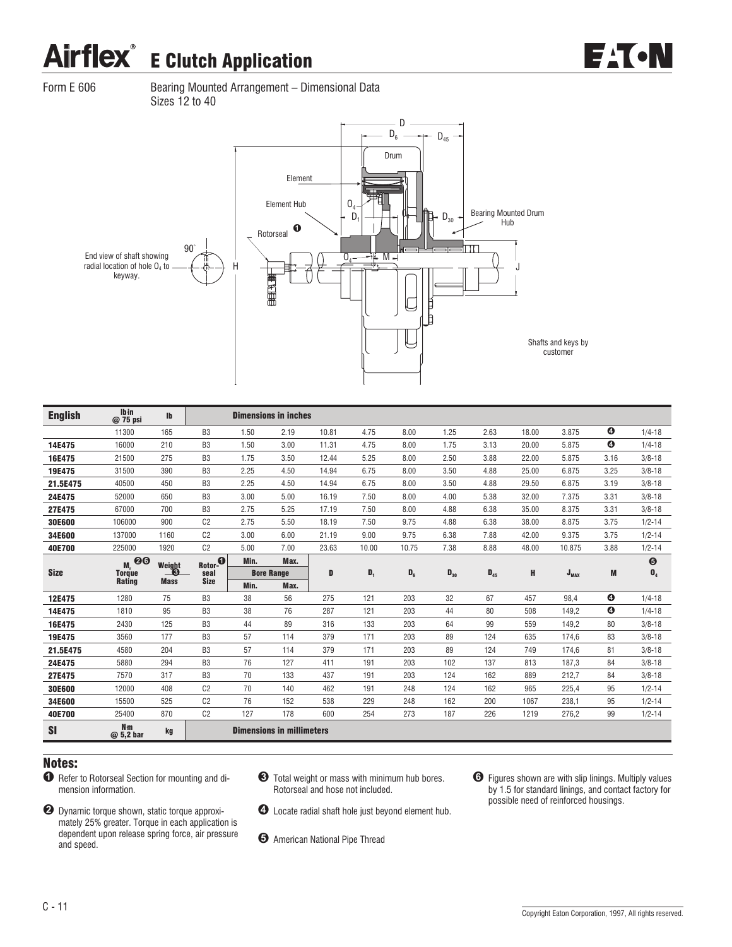

Form E 606 Bearing Mounted Arrangement – Dimensional Data Sizes 12 to 40



| <b>English</b> | Ibin<br>@ 75 psi            | <b>Ib</b>          |                |      | <b>Dimensions in inches</b>      |       |       |       |          |          |       |           |                       |                       |
|----------------|-----------------------------|--------------------|----------------|------|----------------------------------|-------|-------|-------|----------|----------|-------|-----------|-----------------------|-----------------------|
|                | 11300                       | 165                | B <sub>3</sub> | 1.50 | 2.19                             | 10.81 | 4.75  | 8.00  | 1.25     | 2.63     | 18.00 | 3.875     | $\bullet$             | $1/4 - 18$            |
| 14E475         | 16000                       | 210                | B <sub>3</sub> | 1.50 | 3.00                             | 11.31 | 4.75  | 8.00  | 1.75     | 3.13     | 20.00 | 5.875     | $\boldsymbol{\Omega}$ | $1/4 - 18$            |
| 16E475         | 21500                       | 275                | B <sub>3</sub> | 1.75 | 3.50                             | 12.44 | 5.25  | 8.00  | 2.50     | 3.88     | 22.00 | 5.875     | 3.16                  | $3/8 - 18$            |
| 19E475         | 31500                       | 390                | B <sub>3</sub> | 2.25 | 4.50                             | 14.94 | 6.75  | 8.00  | 3.50     | 4.88     | 25.00 | 6.875     | 3.25                  | $3/8 - 18$            |
| 21.5E475       | 40500                       | 450                | B <sub>3</sub> | 2.25 | 4.50                             | 14.94 | 6.75  | 8.00  | 3.50     | 4.88     | 29.50 | 6.875     | 3.19                  | $3/8 - 18$            |
| 24E475         | 52000                       | 650                | B <sub>3</sub> | 3.00 | 5.00                             | 16.19 | 7.50  | 8.00  | 4.00     | 5.38     | 32.00 | 7.375     | 3.31                  | $3/8 - 18$            |
| 27E475         | 67000                       | 700                | B <sub>3</sub> | 2.75 | 5.25                             | 17.19 | 7.50  | 8.00  | 4.88     | 6.38     | 35.00 | 8.375     | 3.31                  | $3/8 - 18$            |
| 30E600         | 106000                      | 900                | C <sub>2</sub> | 2.75 | 5.50                             | 18.19 | 7.50  | 9.75  | 4.88     | 6.38     | 38.00 | 8.875     | 3.75                  | $1/2 - 14$            |
| 34E600         | 137000                      | 1160               | C <sub>2</sub> | 3.00 | 6.00                             | 21.19 | 9.00  | 9.75  | 6.38     | 7.88     | 42.00 | 9.375     | 3.75                  | $1/2 - 14$            |
| 40E700         | 225000                      | 1920               | C <sub>2</sub> | 5.00 | 7.00                             | 23.63 | 10.00 | 10.75 | 7.38     | 8.88     | 48.00 | 10.875    | 3.88                  | $1/2 - 14$            |
|                | $M_r$ 00                    |                    | Rotor-O        | Min. | Max.                             |       |       |       |          |          |       |           |                       | $\boldsymbol{\Theta}$ |
| <b>Size</b>    | <b>Torque</b>               | Weight<br><u> </u> | seal           |      | <b>Bore Range</b>                | D     | $D_1$ | $D_6$ | $D_{30}$ | $D_{45}$ | н     | $J_{MAX}$ | M                     | $\mathbf{0}_4$        |
|                | Rating                      | <b>Mass</b>        | <b>Size</b>    | Min. | Max.                             |       |       |       |          |          |       |           |                       |                       |
| 12E475         | 1280                        | 75                 | B <sub>3</sub> | 38   | 56                               | 275   | 121   | 203   | 32       | 67       | 457   | 98.4      | $\bullet$             | $1/4 - 18$            |
| 14E475         | 1810                        | 95                 | B <sub>3</sub> | 38   | 76                               | 287   | 121   | 203   | 44       | 80       | 508   | 149,2     | $\bullet$             | $1/4 - 18$            |
| 16E475         | 2430                        | 125                | B <sub>3</sub> | 44   | 89                               | 316   | 133   | 203   | 64       | 99       | 559   | 149.2     | 80                    | $3/8 - 18$            |
| 19E475         | 3560                        | 177                | B <sub>3</sub> | 57   | 114                              | 379   | 171   | 203   | 89       | 124      | 635   | 174,6     | 83                    | $3/8 - 18$            |
| 21.5E475       | 4580                        | 204                | B <sub>3</sub> | 57   | 114                              | 379   | 171   | 203   | 89       | 124      | 749   | 174.6     | 81                    | $3/8 - 18$            |
| 24E475         | 5880                        | 294                | B <sub>3</sub> | 76   | 127                              | 411   | 191   | 203   | 102      | 137      | 813   | 187,3     | 84                    | $3/8 - 18$            |
| 27E475         | 7570                        | 317                | B <sub>3</sub> | 70   | 133                              | 437   | 191   | 203   | 124      | 162      | 889   | 212,7     | 84                    | $3/8 - 18$            |
| 30E600         | 12000                       | 408                | C <sub>2</sub> | 70   | 140                              | 462   | 191   | 248   | 124      | 162      | 965   | 225.4     | 95                    | $1/2 - 14$            |
| 34E600         | 15500                       | 525                | C <sub>2</sub> | 76   | 152                              | 538   | 229   | 248   | 162      | 200      | 1067  | 238,1     | 95                    | $1/2 - 14$            |
| 40E700         | 25400                       | 870                | C <sub>2</sub> | 127  | 178                              | 600   | 254   | 273   | 187      | 226      | 1219  | 276,2     | 99                    | $1/2 - 14$            |
| <b>SI</b>      | N <sub>m</sub><br>@ 5,2 bar | kg                 |                |      | <b>Dimensions in millimeters</b> |       |       |       |          |          |       |           |                       |                       |

- $\bullet$  Refer to Rotorseal Section for mounting and dimension information.
- **2** Dynamic torque shown, static torque approximately 25% greater. Torque in each application is dependent upon release spring force, air pressure and speed.
- & Total weight or mass with minimum hub bores. Rotorseal and hose not included.
- $\bullet$  Locate radial shaft hole just beyond element hub.
- **6** American National Pipe Thread
- $\Theta$  Figures shown are with slip linings. Multiply values by 1.5 for standard linings, and contact factory for possible need of reinforced housings.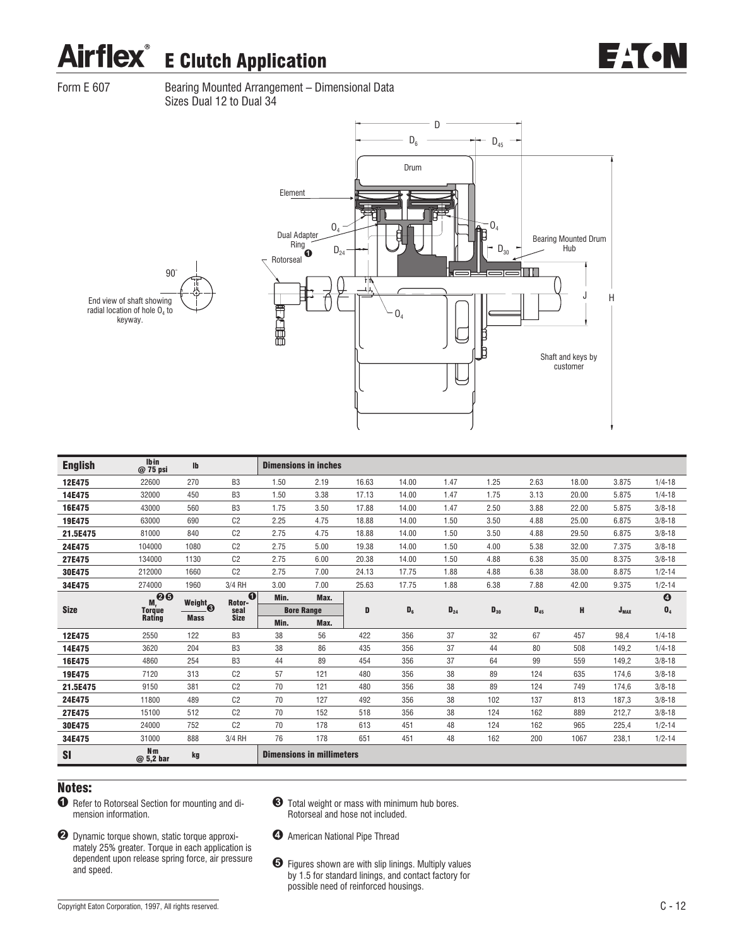Form E 607 Bearing Mounted Arrangement - Dimensional Data Sizes Dual 12 to Dual 34



| <b>English</b> | Ibin<br>@ 75 psi               | Ib                  |                     |      | <b>Dimensions in inches</b> |       |       |          |          |          |       |           |                       |
|----------------|--------------------------------|---------------------|---------------------|------|-----------------------------|-------|-------|----------|----------|----------|-------|-----------|-----------------------|
| 12E475         | 22600                          | 270                 | B <sub>3</sub>      | 1.50 | 2.19                        | 16.63 | 14.00 | 1.47     | 1.25     | 2.63     | 18.00 | 3.875     | $1/4 - 18$            |
| 14E475         | 32000                          | 450                 | B <sub>3</sub>      | 1.50 | 3.38                        | 17.13 | 14.00 | 1.47     | 1.75     | 3.13     | 20.00 | 5.875     | $1/4 - 18$            |
| 16E475         | 43000                          | 560                 | B <sub>3</sub>      | 1.75 | 3.50                        | 17.88 | 14.00 | 1.47     | 2.50     | 3.88     | 22.00 | 5.875     | $3/8 - 18$            |
| 19E475         | 63000                          | 690                 | C <sub>2</sub>      | 2.25 | 4.75                        | 18.88 | 14.00 | 1.50     | 3.50     | 4.88     | 25.00 | 6.875     | $3/8 - 18$            |
| 21.5E475       | 81000                          | 840                 | C <sub>2</sub>      | 2.75 | 4.75                        | 18.88 | 14.00 | 1.50     | 3.50     | 4.88     | 29.50 | 6.875     | $3/8 - 18$            |
| 24E475         | 104000                         | 1080                | C <sub>2</sub>      | 2.75 | 5.00                        | 19.38 | 14.00 | 1.50     | 4.00     | 5.38     | 32.00 | 7.375     | $3/8 - 18$            |
| 27E475         | 134000                         | 1130                | C <sub>2</sub>      | 2.75 | 6.00                        | 20.38 | 14.00 | 1.50     | 4.88     | 6.38     | 35.00 | 8.375     | $3/8 - 18$            |
| 30E475         | 212000                         | 1660                | C <sub>2</sub>      | 2.75 | 7.00                        | 24.13 | 17.75 | 1.88     | 4.88     | 6.38     | 38.00 | 8.875     | $1/2 - 14$            |
| 34E475         | 274000                         | 1960                | 3/4 RH              | 3.00 | 7.00                        | 25.63 | 17.75 | 1.88     | 6.38     | 7.88     | 42.00 | 9.375     | $1/2 - 14$            |
|                | .00<br>M,                      | Weight <sub>®</sub> | $\bf{0}$<br>Rotor-  | Min. | Max.                        |       |       |          |          |          |       |           | $\boldsymbol{\Theta}$ |
| <b>Size</b>    | <b>Torque</b><br><b>Rating</b> | <b>Mass</b>         | seal<br><b>Size</b> |      | <b>Bore Range</b>           | D     | $D_6$ | $D_{24}$ | $D_{30}$ | $D_{45}$ | н     | $J_{MAX}$ | $\mathbf{0}_4$        |
|                |                                |                     |                     | Min. | Max.                        |       |       |          |          |          |       |           |                       |
| 12E475         |                                |                     |                     |      |                             |       |       |          |          |          |       |           |                       |
|                | 2550                           | 122                 | B <sub>3</sub>      | 38   | 56                          | 422   | 356   | 37       | 32       | 67       | 457   | 98.4      | $1/4 - 18$            |
| 14E475         | 3620                           | 204                 | B <sub>3</sub>      | 38   | 86                          | 435   | 356   | 37       | 44       | 80       | 508   | 149,2     | $1/4 - 18$            |
| 16E475         | 4860                           | 254                 | B <sub>3</sub>      | 44   | 89                          | 454   | 356   | 37       | 64       | 99       | 559   | 149,2     | $3/8 - 18$            |
| 19E475         | 7120                           | 313                 | C <sub>2</sub>      | 57   | 121                         | 480   | 356   | 38       | 89       | 124      | 635   | 174,6     | $3/8 - 18$            |
| 21.5E475       | 9150                           | 381                 | C <sub>2</sub>      | 70   | 121                         | 480   | 356   | 38       | 89       | 124      | 749   | 174,6     | $3/8 - 18$            |
| 24E475         | 11800                          | 489                 | C <sub>2</sub>      | 70   | 127                         | 492   | 356   | 38       | 102      | 137      | 813   | 187,3     | $3/8 - 18$            |
| 27E475         | 15100                          | 512                 | C <sub>2</sub>      | 70   | 152                         | 518   | 356   | 38       | 124      | 162      | 889   | 212,7     | $3/8 - 18$            |
| 30E475         | 24000                          | 752                 | C <sub>2</sub>      | 70   | 178                         | 613   | 451   | 48       | 124      | 162      | 965   | 225,4     | $1/2 - 14$            |
| 34E475         | 31000                          | 888                 | 3/4 RH              | 76   | 178                         | 651   | 451   | 48       | 162      | 200      | 1067  | 238,1     | $1/2 - 14$            |

- $\bullet$  Refer to Rotorseal Section for mounting and dimension information.
- & Total weight or mass with minimum hub bores. Rotorseal and hose not included.
- ! Dynamic torque shown, static torque approximately 25% greater. Torque in each application is dependent upon release spring force, air pressure and speed.
- $\bullet$  American National Pipe Thread
- $\Theta$  Figures shown are with slip linings. Multiply values by 1.5 for standard linings, and contact factory for possible need of reinforced housings.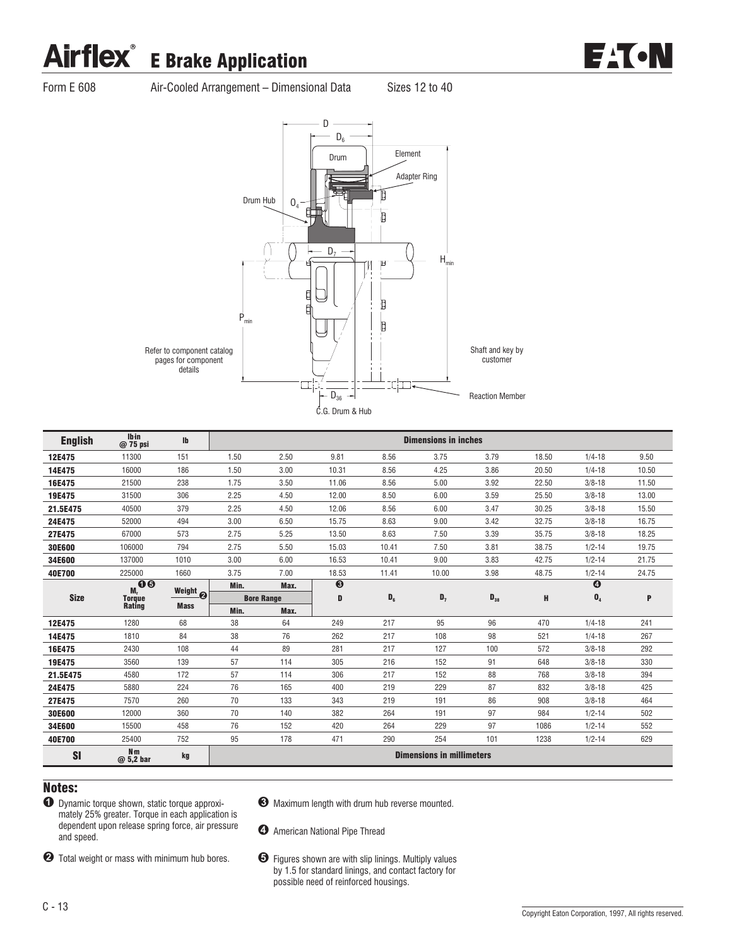# Airflex<sup>®</sup> E Brake Application



Form E 608 Air-Cooled Arrangement – Dimensional Data Sizes 12 to 40



| <b>English</b> | <b>Ibin</b><br>$@75$ psi     | <b>Ib</b>   |      |                   |           |       | <b>Dimensions in inches</b>      |          |       |                       |       |
|----------------|------------------------------|-------------|------|-------------------|-----------|-------|----------------------------------|----------|-------|-----------------------|-------|
| 12E475         | 11300                        | 151         | 1.50 | 2.50              | 9.81      | 8.56  | 3.75                             | 3.79     | 18.50 | $1/4 - 18$            | 9.50  |
| 14E475         | 16000                        | 186         | 1.50 | 3.00              | 10.31     | 8.56  | 4.25                             | 3.86     | 20.50 | $1/4 - 18$            | 10.50 |
| 16E475         | 21500                        | 238         | 1.75 | 3.50              | 11.06     | 8.56  | 5.00                             | 3.92     | 22.50 | $3/8 - 18$            | 11.50 |
| 19E475         | 31500                        | 306         | 2.25 | 4.50              | 12.00     | 8.50  | 6.00                             | 3.59     | 25.50 | $3/8 - 18$            | 13.00 |
| 21.5E475       | 40500                        | 379         | 2.25 | 4.50              | 12.06     | 8.56  | 6.00                             | 3.47     | 30.25 | $3/8 - 18$            | 15.50 |
| 24E475         | 52000                        | 494         | 3.00 | 6.50              | 15.75     | 8.63  | 9.00                             | 3.42     | 32.75 | $3/8 - 18$            | 16.75 |
| 27E475         | 67000                        | 573         | 2.75 | 5.25              | 13.50     | 8.63  | 7.50                             | 3.39     | 35.75 | $3/8 - 18$            | 18.25 |
| 30E600         | 106000                       | 794         | 2.75 | 5.50              | 15.03     | 10.41 | 7.50                             | 3.81     | 38.75 | $1/2 - 14$            | 19.75 |
| 34E600         | 137000                       | 1010        | 3.00 | 6.00              | 16.53     | 10.41 | 9.00                             | 3.83     | 42.75 | $1/2 - 14$            | 21.75 |
| 40E700         | 225000                       | 1660        | 3.75 | 7.00              | 18.53     | 11.41 | 10.00                            | 3.98     | 48.75 | $1/2 - 14$            | 24.75 |
|                | $\bullet\bullet$<br>M.       | Weight @    | Min. | Max.              | $\bullet$ |       |                                  |          |       | $\boldsymbol{\Theta}$ |       |
| <b>Size</b>    | <b>Torque</b>                |             |      | <b>Bore Range</b> | D         | $D_6$ | $D_7$                            | $D_{38}$ | н     | $\mathbf{0}_4$        | P     |
|                | <b>Rating</b>                | <b>Mass</b> | Min. | Max.              |           |       |                                  |          |       |                       |       |
| 12E475         | 1280                         | 68          | 38   | 64                | 249       | 217   | 95                               | 96       | 470   | $1/4 - 18$            | 241   |
| 14E475         | 1810                         | 84          | 38   | 76                | 262       | 217   | 108                              | 98       | 521   | $1/4 - 18$            | 267   |
| 16E475         | 2430                         | 108         | 44   | 89                | 281       | 217   | 127                              | 100      | 572   | $3/8 - 18$            | 292   |
| 19E475         | 3560                         | 139         | 57   | 114               | 305       | 216   | 152                              | 91       | 648   | $3/8 - 18$            | 330   |
| 21.5E475       | 4580                         | 172         | 57   | 114               | 306       | 217   | 152                              | 88       | 768   | $3/8 - 18$            | 394   |
| 24E475         | 5880                         | 224         | 76   | 165               | 400       | 219   | 229                              | 87       | 832   | $3/8 - 18$            | 425   |
| 27E475         | 7570                         | 260         | 70   | 133               | 343       | 219   | 191                              | 86       | 908   | $3/8 - 18$            | 464   |
| 30E600         | 12000                        | 360         | 70   | 140               | 382       | 264   | 191                              | 97       | 984   | $1/2 - 14$            | 502   |
| 34E600         | 15500                        | 458         | 76   | 152               | 420       | 264   | 229                              | 97       | 1086  | $1/2 - 14$            | 552   |
| 40E700         | 25400                        | 752         | 95   | 178               | 471       | 290   | 254                              | 101      | 1238  | $1/2 - 14$            | 629   |
| <b>SI</b>      | N <sub>m</sub><br>$@5,2$ bar | kg          |      |                   |           |       | <b>Dimensions in millimeters</b> |          |       |                       |       |

- $\bullet$  Dynamic torque shown, static torque approximately 25% greater. Torque in each application is dependent upon release spring force, air pressure and speed.
- **2** Total weight or mass with minimum hub bores.
- & Maximum length with drum hub reverse mounted.
- $\bullet$  American National Pipe Thread
- $\Theta$  Figures shown are with slip linings. Multiply values by 1.5 for standard linings, and contact factory for possible need of reinforced housings.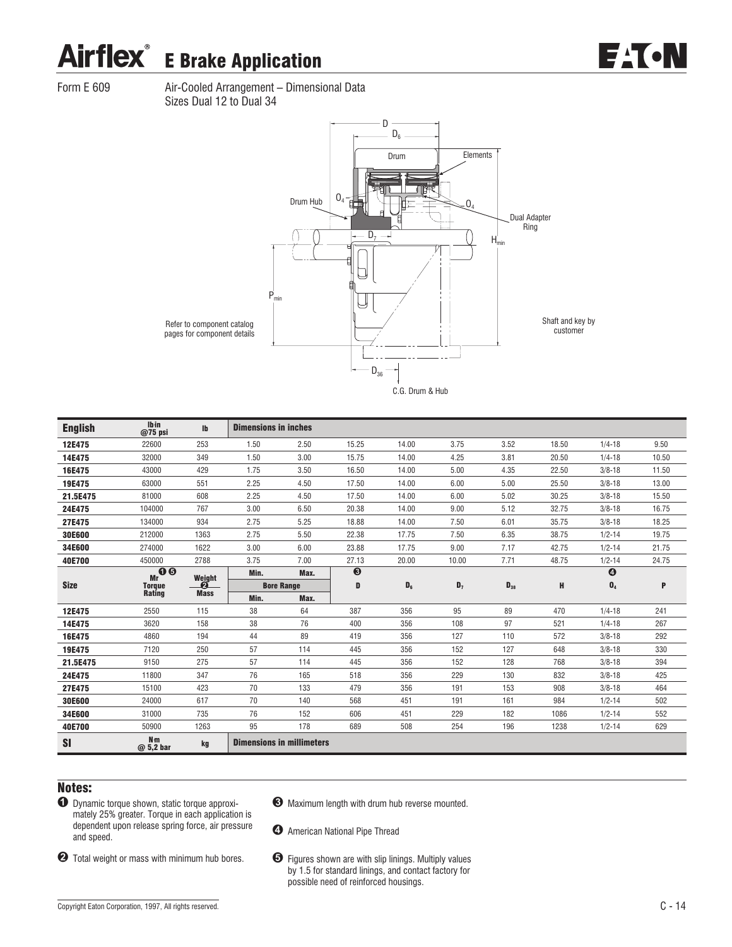# Airflex<sup>®</sup> E Brake Application

EACN

Form E 609 Air-Cooled Arrangement – Dimensional Data Sizes Dual 12 to Dual 34



| <b>English</b> | <b>lbin</b><br>$@75$ psi    | $\mathbf{I}$     | <b>Dimensions in inches</b> |                                  |         |         |       |          |       |                       |       |
|----------------|-----------------------------|------------------|-----------------------------|----------------------------------|---------|---------|-------|----------|-------|-----------------------|-------|
| 12E475         | 22600                       | 253              | 1.50                        | 2.50                             | 15.25   | 14.00   | 3.75  | 3.52     | 18.50 | $1/4 - 18$            | 9.50  |
| 14E475         | 32000                       | 349              | 1.50                        | 3.00                             | 15.75   | 14.00   | 4.25  | 3.81     | 20.50 | $1/4 - 18$            | 10.50 |
| 16E475         | 43000                       | 429              | 1.75                        | 3.50                             | 16.50   | 14.00   | 5.00  | 4.35     | 22.50 | $3/8 - 18$            | 11.50 |
| 19E475         | 63000                       | 551              | 2.25                        | 4.50                             | 17.50   | 14.00   | 6.00  | 5.00     | 25.50 | $3/8 - 18$            | 13.00 |
| 21.5E475       | 81000                       | 608              | 2.25                        | 4.50                             | 17.50   | 14.00   | 6.00  | 5.02     | 30.25 | $3/8 - 18$            | 15.50 |
| 24E475         | 104000                      | 767              | 3.00                        | 6.50                             | 20.38   | 14.00   | 9.00  | 5.12     | 32.75 | $3/8 - 18$            | 16.75 |
| 27E475         | 134000                      | 934              | 2.75                        | 5.25                             | 18.88   | 14.00   | 7.50  | 6.01     | 35.75 | $3/8 - 18$            | 18.25 |
| 30E600         | 212000                      | 1363             | 2.75                        | 5.50                             | 22.38   | 17.75   | 7.50  | 6.35     | 38.75 | $1/2 - 14$            | 19.75 |
| 34E600         | 274000                      | 1622             | 3.00                        | 6.00                             | 23.88   | 17.75   | 9.00  | 7.17     | 42.75 | $1/2 - 14$            | 21.75 |
| 40E700         | 450000                      | 2788             | 3.75                        | 7.00                             | 27.13   | 20.00   | 10.00 | 7.71     | 48.75 | $1/2 - 14$            | 24.75 |
|                | 0 <sub>0</sub><br>Mr        | Weight           | Min.                        | Max.                             | $\odot$ |         |       |          |       | $\boldsymbol{\Theta}$ |       |
| <b>Size</b>    | <b>Torque</b><br>Rating     | ศ<br><b>Mass</b> |                             | <b>Bore Range</b>                | D       | $D_{6}$ | $D_7$ | $D_{38}$ | H     | $\mathbf{0}_4$        | P     |
|                |                             |                  | Min.                        | Max.                             |         |         |       |          |       |                       |       |
| 12E475         | 2550                        | 115              | 38                          | 64                               | 387     | 356     | 95    | 89       | 470   | $1/4 - 18$            | 241   |
| 14E475         | 3620                        | 158              | 38                          | 76                               | 400     | 356     | 108   | 97       | 521   | $1/4 - 18$            | 267   |
| 16E475         | 4860                        | 194              | 44                          | 89                               | 419     | 356     | 127   | 110      | 572   | $3/8 - 18$            | 292   |
| 19E475         | 7120                        | 250              | 57                          | 114                              | 445     | 356     | 152   | 127      | 648   | $3/8 - 18$            | 330   |
| 21.5E475       | 9150                        | 275              | 57                          | 114                              | 445     | 356     | 152   | 128      | 768   | $3/8 - 18$            | 394   |
| 24E475         | 11800                       | 347              | 76                          | 165                              | 518     | 356     | 229   | 130      | 832   | $3/8 - 18$            | 425   |
| 27E475         | 15100                       | 423              | 70                          | 133                              | 479     | 356     | 191   | 153      | 908   | $3/8 - 18$            | 464   |
| 30E600         | 24000                       | 617              | 70                          | 140                              | 568     | 451     | 191   | 161      | 984   | $1/2 - 14$            | 502   |
| 34E600         | 31000                       | 735              | 76                          | 152                              | 606     | 451     | 229   | 182      | 1086  | $1/2 - 14$            | 552   |
| 40E700         | 50900                       | 1263             | 95                          | 178                              | 689     | 508     | 254   | 196      | 1238  | $1/2 - 14$            | 629   |
| SI             | N <sub>m</sub><br>@ 5,2 bar | kg               |                             | <b>Dimensions in millimeters</b> |         |         |       |          |       |                       |       |

### Notes:

 $\bullet$  Dynamic torque shown, static torque approximately 25% greater. Torque in each application is dependent upon release spring force, air pressure and speed.

**2** Total weight or mass with minimum hub bores.

- & Maximum length with drum hub reverse mounted.
- $\bullet$  American National Pipe Thread
- $\bullet$  Figures shown are with slip linings. Multiply values by 1.5 for standard linings, and contact factory for possible need of reinforced housings.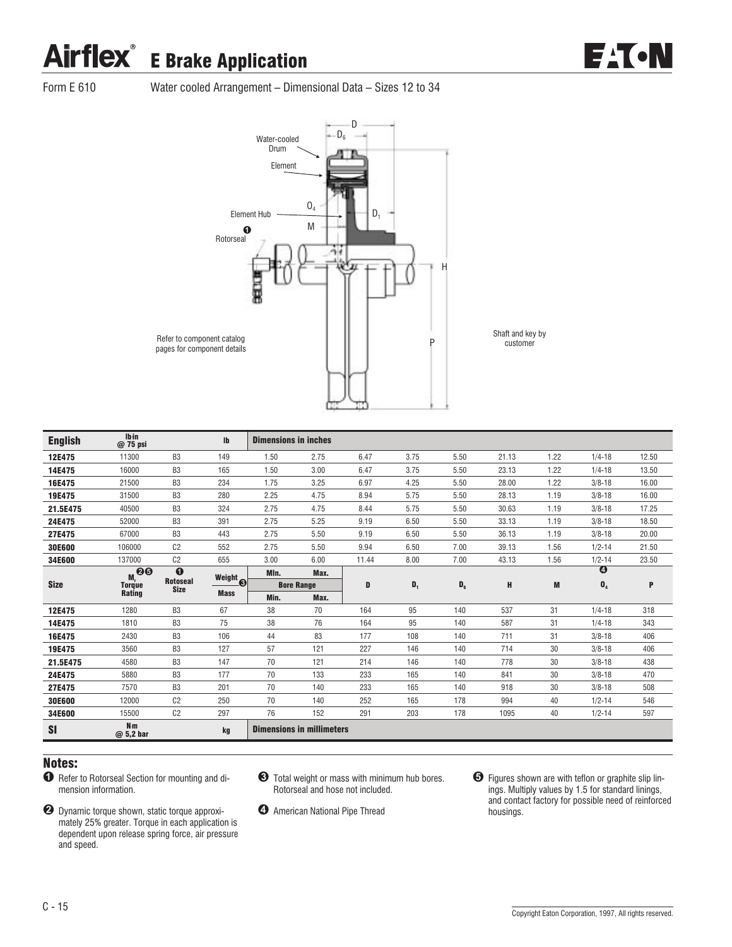### Airflex<sup>®</sup> E Brake Application



Form E 610 Water cooled Arrangement – Dimensional Data – Sizes 12 to 34



| <b>English</b> | <b>Ibin</b><br>$@75$ psi    |                                | $\mathbf{I}$        | <b>Dimensions in inches</b> |                                  |       |                |       |       |      |                       |       |
|----------------|-----------------------------|--------------------------------|---------------------|-----------------------------|----------------------------------|-------|----------------|-------|-------|------|-----------------------|-------|
| 12E475         | 11300                       | B <sub>3</sub>                 | 149                 | 1.50                        | 2.75                             | 6.47  | 3.75           | 5.50  | 21.13 | 1.22 | $1/4 - 18$            | 12.50 |
| 14E475         | 16000                       | B <sub>3</sub>                 | 165                 | 1.50                        | 3.00                             | 6.47  | 3.75           | 5.50  | 23.13 | 1.22 | $1/4 - 18$            | 13.50 |
| 16E475         | 21500                       | B <sub>3</sub>                 | 234                 | 1.75                        | 3.25                             | 6.97  | 4.25           | 5.50  | 28.00 | 1.22 | $3/8 - 18$            | 16.00 |
| 19E475         | 31500                       | B <sub>3</sub>                 | 280                 | 2.25                        | 4.75                             | 8.94  | 5.75           | 5.50  | 28.13 | 1.19 | $3/8 - 18$            | 16.00 |
| 21.5E475       | 40500                       | B <sub>3</sub>                 | 324                 | 2.75                        | 4.75                             | 8.44  | 5.75           | 5.50  | 30.63 | 1.19 | $3/8 - 18$            | 17.25 |
| 24E475         | 52000                       | B <sub>3</sub>                 | 391                 | 2.75                        | 5.25                             | 9.19  | 6.50           | 5.50  | 33.13 | 1.19 | $3/8 - 18$            | 18.50 |
| 27E475         | 67000                       | B <sub>3</sub>                 | 443                 | 2.75                        | 5.50                             | 9.19  | 6.50           | 5.50  | 36.13 | 1.19 | $3/8 - 18$            | 20.00 |
| 30E600         | 106000                      | C <sub>2</sub>                 | 552                 | 2.75                        | 5.50                             | 9.94  | 6.50           | 7.00  | 39.13 | 1.56 | $1/2 - 14$            | 21.50 |
| 34E600         | 137000                      | C <sub>2</sub>                 | 655                 | 3.00                        | 6.00                             | 11.44 | 8.00           | 7.00  | 43.13 | 1.56 | $1/2 - 14$            | 23.50 |
|                | $M,$ 00                     | $\bf{0}$                       | Weight <sub>o</sub> | MIn.                        | Max.                             |       |                |       |       |      | $\boldsymbol{\Theta}$ |       |
| <b>Size</b>    | <b>Torque</b><br>Rating     | <b>Rotoseal</b><br><b>Size</b> | <b>Mass</b>         |                             | <b>Bore Range</b>                | D     | $\mathbf{D}_1$ | $D_6$ | H     | M    | $\mathbf{0}_4$        | P     |
|                |                             |                                |                     | Min.                        | Max.                             |       |                |       |       |      |                       |       |
| 12E475         | 1280                        | B <sub>3</sub>                 | 67                  | 38                          | 70                               | 164   | 95             | 140   | 537   | 31   | $1/4 - 18$            | 318   |
| 14E475         | 1810                        | B <sub>3</sub>                 | 75                  | 38                          | 76                               | 164   | 95             | 140   | 587   | 31   | $1/4 - 18$            | 343   |
| 16E475         | 2430                        | B <sub>3</sub>                 | 106                 | 44                          | 83                               | 177   | 108            | 140   | 711   | 31   | $3/8 - 18$            | 406   |
| 19E475         | 3560                        | B <sub>3</sub>                 | 127                 | 57                          | 121                              | 227   | 146            | 140   | 714   | 30   | $3/8 - 18$            | 406   |
| 21.5E475       | 4580                        | B <sub>3</sub>                 | 147                 | 70                          | 121                              | 214   | 146            | 140   | 778   | 30   | $3/8 - 18$            | 438   |
| 24E475         | 5880                        | B <sub>3</sub>                 | 177                 | 70                          | 133                              | 233   | 165            | 140   | 841   | 30   | $3/8 - 18$            | 470   |
| 27E475         | 7570                        | B <sub>3</sub>                 | 201                 | 70                          | 140                              | 233   | 165            | 140   | 918   | 30   | $3/8 - 18$            | 508   |
| 30E600         | 12000                       | C <sub>2</sub>                 | 250                 | 70                          | 140                              | 252   | 165            | 178   | 994   | 40   | $1/2 - 14$            | 546   |
| 34E600         | 15500                       | C <sub>2</sub>                 | 297                 | 76                          | 152                              | 291   | 203            | 178   | 1095  | 40   | $1/2 - 14$            | 597   |
| SI             | N <sub>m</sub><br>@ 5,2 bar |                                | kg                  |                             | <b>Dimensions in millimeters</b> |       |                |       |       |      |                       |       |

- $\bullet$  Refer to Rotorseal Section for mounting and dimension information.
- **2** Dynamic torque shown, static torque approximately 25% greater. Torque in each application is dependent upon release spring force, air pressure and speed.
- & Total weight or mass with minimum hub bores. Rotorseal and hose not included.
- $\bullet$  American National Pipe Thread
- $\Theta$  Figures shown are with teflon or graphite slip linings. Multiply values by 1.5 for standard linings, and contact factory for possible need of reinforced housings.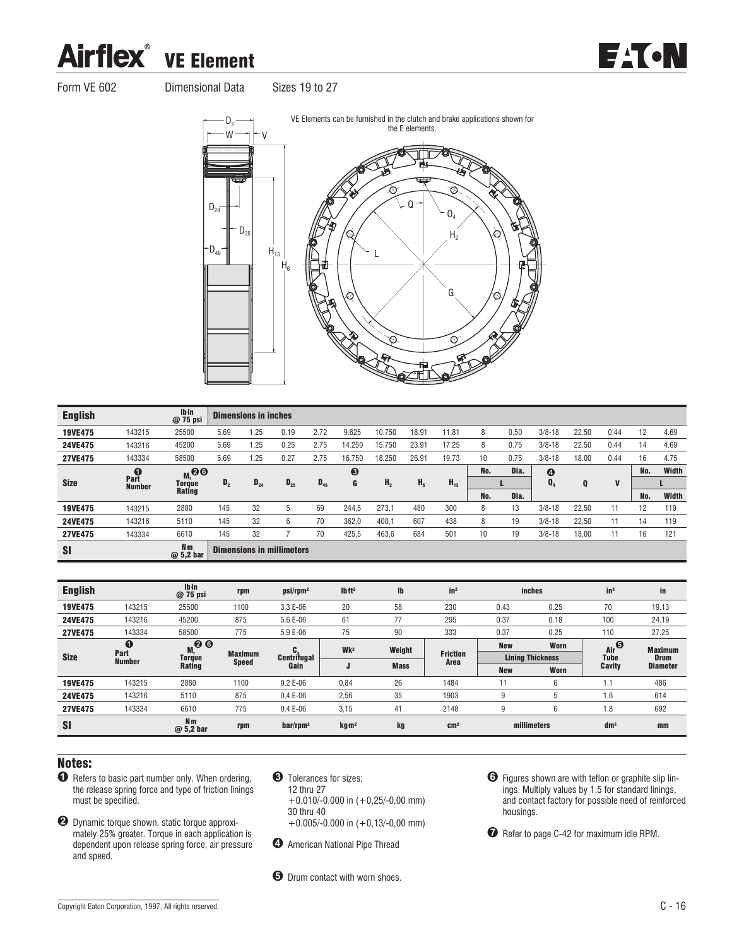### **Airflex®** VE Element



Form VE 602 Dimensional Data Sizes 19 to 27





| <b>English</b> |               | lb in<br>@ 75 psi           |                | <b>Dimensions in inches</b> |                                  |          |        |                |                |          |     |      |                       |       |              |     |       |
|----------------|---------------|-----------------------------|----------------|-----------------------------|----------------------------------|----------|--------|----------------|----------------|----------|-----|------|-----------------------|-------|--------------|-----|-------|
| <b>19VE475</b> | 143215        | 25500                       | 5.69           | 1.25                        | 0.19                             | 2.72     | 9.625  | 10.750         | 18.91          | 11.81    | 8   | 0.50 | $3/8 - 18$            | 22.50 | 0.44         | 12  | 4.69  |
| <b>24VE475</b> | 143216        | 45200                       | 5.69           | 1.25                        | 0.25                             | 2.75     | 14.250 | 15.750         | 23.91          | 17.25    | 8   | 0.75 | $3/8 - 18$            | 22.50 | 0.44         | 14  | 4.69  |
| <b>27VE475</b> | 143334        | 58500                       | 5.69           | 1.25                        | 0.27                             | 2.75     | 16.750 | 18.250         | 26.91          | 19.73    | 10  | 0.75 | $3/8 - 18$            | 18.00 | 0.44         | 16  | 4.75  |
|                | Part          | $M_t$ 00                    |                |                             |                                  |          | ❸      |                |                |          | No. | Dia. | $\boldsymbol{\Theta}$ |       |              | No. | Width |
| <b>Size</b>    | <b>Number</b> | <b>Torque</b>               | D <sub>2</sub> | $D_{24}$                    | $D_{25}$                         | $D_{46}$ | G      | H <sub>2</sub> | H <sub>6</sub> | $H_{13}$ |     |      | Q <sub>4</sub>        | Q     | $\mathbf{V}$ |     |       |
|                |               | <b>Rating</b>               |                |                             |                                  |          |        |                |                |          | No. | Dia. |                       |       |              | No. | Width |
| <b>19VE475</b> | 143215        | 2880                        | 145            | 32                          | 5                                | 69       | 244,5  | 273.1          | 480            | 300      | 8   | 13   | $3/8 - 18$            | 22,50 | 11           | 12  | 119   |
| <b>24VE475</b> | 143216        | 5110                        | 145            | 32                          | 6                                | 70       | 362.0  | 400,1          | 607            | 438      | 8   | 19   | $3/8 - 18$            | 22.50 | 11           | 14  | 119   |
| <b>27VE475</b> | 143334        | 6610                        | 145            | 32                          |                                  | 70       | 425,5  | 463,6          | 684            | 501      | 10  | 19   | $3/8 - 18$            | 18,00 | 11           | 16  | 121   |
| <b>SI</b>      |               | N <sub>m</sub><br>@ 5,2 bar |                |                             | <b>Dimensions in millimeters</b> |          |        |                |                |          |     |      |                       |       |              |     |       |

| <b>English</b> |                       | <b>Ibin</b><br>@ 75 psi      | rpm                            | psi/rpm <sup>2</sup>    | Ibft <sup>2</sup> | Ib          | in <sup>2</sup>         |            | <b>inches</b>           | in <sup>3</sup> | in              |
|----------------|-----------------------|------------------------------|--------------------------------|-------------------------|-------------------|-------------|-------------------------|------------|-------------------------|-----------------|-----------------|
| 19VE475        | 143215                | 25500                        | 1100                           | 3.3 E-06                | 20                | 58          | 230                     | 0.43       | 0.25                    | 70              | 19.13           |
| 24VE475        | 143216                | 45200                        | 875                            | 5.6 E-06                | 61                | 77          | 295                     | 0.37       | 0.18                    | 100             | 24.19           |
| <b>27VE475</b> | 143334                | 58500                        | 775                            | 5.9 E-06                | 75                | 90          | 333                     | 0.37       | 0.25                    | 110             | 27.25           |
|                | $\bf o$               | $Mr$ <sup>2</sup>            |                                | C.                      | Wk <sup>2</sup>   | Weight      |                         | <b>New</b> | Worn                    | Air             | <b>Maximum</b>  |
| <b>Size</b>    | Part<br><b>Number</b> | <b>Torque</b>                | <b>Maximum</b><br><b>Speed</b> | <b>Centrifugal</b>      |                   |             | <b>Friction</b><br>Area |            | <b>Lining Thickness</b> | Tube            | <b>Drum</b>     |
|                |                       | Rating                       |                                | Gain                    | J                 | <b>Mass</b> |                         | <b>New</b> | Worn                    | Cavity          | <b>Diameter</b> |
| 19VE475        | 143215                | 2880                         | 1100                           | $0.2E - 06$             | 0,84              | 26          | 1484                    | 11         | 6                       | 1,1             | 486             |
| 24VE475        | 143216                | 5110                         | 875                            | $0.4E - 06$             | 2,56              | 35          | 1903                    | 9          | b                       | 1,6             | 614             |
| <b>27VE475</b> | 143334                | 6610                         | 775                            | $0.4E - 06$             | 3,15              | 41          | 2148                    | 9          | 6                       | 1,8             | 692             |
| <b>SI</b>      |                       | N <sub>m</sub><br>$@5,2$ bar | rpm                            | $bar/$ rpm <sup>2</sup> | kg <sub>m²</sub>  | kg          | cm <sup>2</sup>         |            | millimeters             | dm <sup>3</sup> | mm              |

### Notes:

- $\bullet$  Refers to basic part number only. When ordering, the release spring force and type of friction linings must be specified.
- ! Dynamic torque shown, static torque approximately 25% greater. Torque in each application is dependent upon release spring force, air pressure and speed.
- **8** Tolerances for sizes: 12 thru 27 +0.010/-0.000 in (+0,25/-0,00 mm) 30 thru 40 +0.005/-0.000 in (+0,13/-0,00 mm)
- $\bullet$  American National Pipe Thread
- $\Theta$  Drum contact with worn shoes.
- % Figures shown are with teflon or graphite slip linings. Multiply values by 1.5 for standard linings, and contact factory for possible need of reinforced housings.
- $\bullet$  Refer to page C-42 for maximum idle RPM.

EACN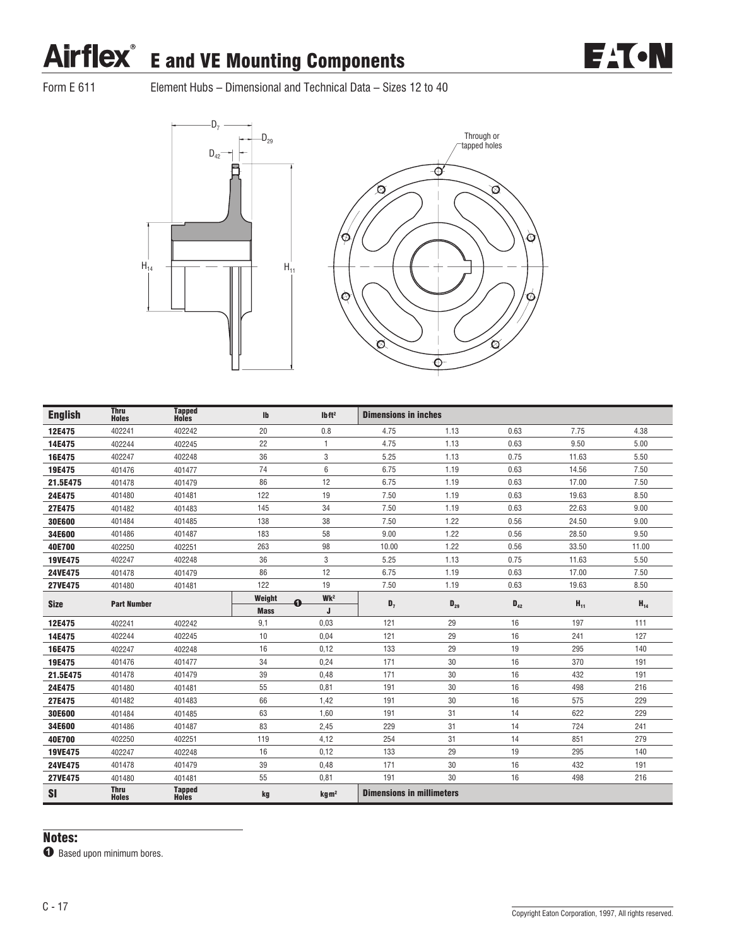

Form E 611 Element Hubs – Dimensional and Technical Data – Sizes 12 to 40





| <b>English</b> | <b>Thru</b><br><b>Holes</b> | <b>Tapped</b><br>Holes | $\mathsf{I}$ | Ibft <sup>2</sup> | <b>Dimensions in inches</b>      |          |          |          |          |
|----------------|-----------------------------|------------------------|--------------|-------------------|----------------------------------|----------|----------|----------|----------|
| 12E475         | 402241                      | 402242                 | 20           | 0.8               | 4.75                             | 1.13     | 0.63     | 7.75     | 4.38     |
| 14E475         | 402244                      | 402245                 | 22           | $\mathbf{1}$      | 4.75                             | 1.13     | 0.63     | 9.50     | 5.00     |
| 16E475         | 402247                      | 402248                 | 36           | 3                 | 5.25                             | 1.13     | 0.75     | 11.63    | 5.50     |
| 19E475         | 401476                      | 401477                 | 74           | 6                 | 6.75                             | 1.19     | 0.63     | 14.56    | 7.50     |
| 21.5E475       | 401478                      | 401479                 | 86           | 12                | 6.75                             | 1.19     | 0.63     | 17.00    | 7.50     |
| 24E475         | 401480                      | 401481                 | 122          | 19                | 7.50                             | 1.19     | 0.63     | 19.63    | 8.50     |
| 27E475         | 401482                      | 401483                 | 145          | 34                | 7.50                             | 1.19     | 0.63     | 22.63    | 9.00     |
| 30E600         | 401484                      | 401485                 | 138          | 38                | 7.50                             | 1.22     | 0.56     | 24.50    | 9.00     |
| 34E600         | 401486                      | 401487                 | 183          | 58                | 9.00                             | 1.22     | 0.56     | 28.50    | 9.50     |
| 40E700         | 402250                      | 402251                 | 263          | 98                | 10.00                            | 1.22     | 0.56     | 33.50    | 11.00    |
| 19VE475        | 402247                      | 402248                 | 36           | 3                 | 5.25                             | 1.13     | 0.75     | 11.63    | 5.50     |
| 24VE475        | 401478                      | 401479                 | 86           | 12                | 6.75                             | 1.19     | 0.63     | 17.00    | 7.50     |
| <b>27VE475</b> | 401480                      | 401481                 | 122          | 19                | 7.50                             | 1.19     | 0.63     | 19.63    | 8.50     |
| <b>Size</b>    | <b>Part Number</b>          |                        | Weight<br>ุด | Wk <sup>2</sup>   | $D_7$                            | $D_{29}$ | $D_{42}$ | $H_{11}$ | $H_{14}$ |
|                |                             |                        | <b>Mass</b>  | J                 |                                  |          |          |          |          |
| 12E475         | 402241                      | 402242                 | 9,1          | 0.03              | 121                              | 29       | 16       | 197      | 111      |
| 14E475         | 402244                      | 402245                 | 10           | 0,04              | 121                              | 29       | 16       | 241      | 127      |
| 16E475         | 402247                      | 402248                 | 16           | 0,12              | 133                              | 29       | 19       | 295      | 140      |
| 19E475         | 401476                      | 401477                 | 34           | 0.24              | 171                              | 30       | 16       | 370      | 191      |
| 21.5E475       | 401478                      | 401479                 | 39           | 0,48              | 171                              | 30       | 16       | 432      | 191      |
| 24E475         | 401480                      | 401481                 | 55           | 0,81              | 191                              | 30       | 16       | 498      | 216      |
| 27E475         | 401482                      | 401483                 | 66           | 1,42              | 191                              | 30       | 16       | 575      | 229      |
| 30E600         | 401484                      | 401485                 | 63           | 1.60              | 191                              | 31       | 14       | 622      | 229      |
| 34E600         | 401486                      | 401487                 | 83           | 2,45              | 229                              | 31       | 14       | 724      | 241      |
| 40E700         | 402250                      | 402251                 | 119          | 4,12              | 254                              | 31       | 14       | 851      | 279      |
| 19VE475        | 402247                      | 402248                 | 16           | 0.12              | 133                              | 29       | 19       | 295      | 140      |
| 24VE475        | 401478                      | 401479                 | 39           | 0,48              | 171                              | 30       | 16       | 432      | 191      |
| <b>27VE475</b> | 401480                      | 401481                 | 55           | 0,81              | 191                              | 30       | 16       | 498      | 216      |
| <b>SI</b>      | <b>Thru</b><br><b>Holes</b> | <b>Tapped</b><br>Holes | kg           | kg <sub>m²</sub>  | <b>Dimensions in millimeters</b> |          |          |          |          |

### Notes:

 $\bullet$  Based upon minimum bores.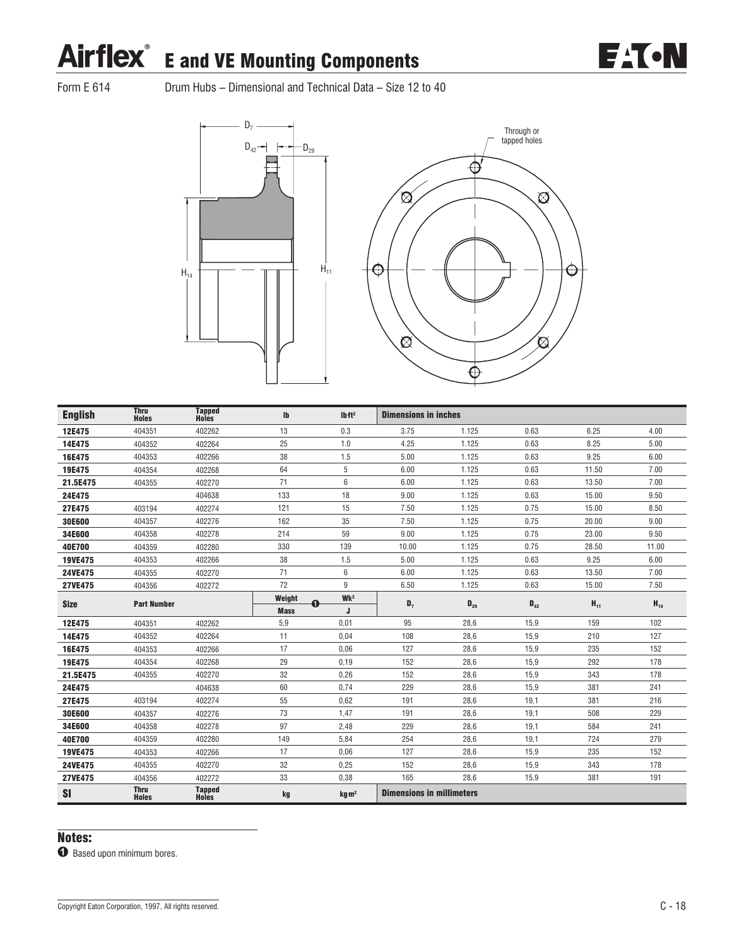

Form E 614 Drum Hubs – Dimensional and Technical Data – Size 12 to 40





| <b>English</b> | <b>Thru</b><br><b>Holes</b> | <b>Tapped</b><br>Holes        | Ib          | Ibft <sup>2</sup> | <b>Dimensions in inches</b>      |          |          |          |          |
|----------------|-----------------------------|-------------------------------|-------------|-------------------|----------------------------------|----------|----------|----------|----------|
| 12E475         | 404351                      | 402262                        | 13          | 0.3               | 3.75                             | 1.125    | 0.63     | 6.25     | 4.00     |
| 14E475         | 404352                      | 402264                        | 25          | 1.0               | 4.25                             | 1.125    | 0.63     | 8.25     | 5.00     |
| 16E475         | 404353                      | 402266                        | 38          | 1.5               | 5.00                             | 1.125    | 0.63     | 9.25     | 6.00     |
| 19E475         | 404354                      | 402268                        | 64          | 5                 | 6.00                             | 1.125    | 0.63     | 11.50    | 7.00     |
| 21.5E475       | 404355                      | 402270                        | 71          | 6                 | 6.00                             | 1.125    | 0.63     | 13.50    | 7.00     |
| 24E475         |                             | 404638                        | 133         | 18                | 9.00                             | 1.125    | 0.63     | 15.00    | 9.50     |
| 27E475         | 403194                      | 402274                        | 121         | 15                | 7.50                             | 1.125    | 0.75     | 15.00    | 8.50     |
| 30E600         | 404357                      | 402276                        | 162         | 35                | 7.50                             | 1.125    | 0.75     | 20.00    | 9.00     |
| 34E600         | 404358                      | 402278                        | 214         | 59                | 9.00                             | 1.125    | 0.75     | 23.00    | 9.50     |
| 40E700         | 404359                      | 402280                        | 330         | 139               | 10.00                            | 1.125    | 0.75     | 28.50    | 11.00    |
| 19VE475        | 404353                      | 402266                        | 38          | 1.5               | 5.00                             | 1.125    | 0.63     | 9.25     | 6.00     |
| 24VE475        | 404355                      | 402270                        | 71          | $6\phantom{1}$    | 6.00                             | 1.125    | 0.63     | 13.50    | 7.00     |
| <b>27VE475</b> | 404356                      | 402272                        | 72          | 9                 | 6.50                             | 1.125    | 0.63     | 15.00    | 7.50     |
| <b>Size</b>    | <b>Part Number</b>          |                               | Weight<br>O | Wk <sup>2</sup>   | $D_7$                            | $D_{29}$ | $D_{42}$ | $H_{11}$ | $H_{14}$ |
|                |                             |                               | <b>Mass</b> | J                 |                                  |          |          |          |          |
| 12E475         | 404351                      | 402262                        | 5,9         | 0,01              | 95                               | 28.6     | 15,9     | 159      | 102      |
| 14E475         | 404352                      | 402264                        | 11          | 0,04              | 108                              | 28,6     | 15,9     | 210      | 127      |
| 16E475         | 404353                      | 402266                        | 17          | 0,06              | 127                              | 28,6     | 15,9     | 235      | 152      |
| 19E475         | 404354                      | 402268                        | 29          | 0,19              | 152                              | 28,6     | 15,9     | 292      | 178      |
| 21.5E475       | 404355                      | 402270                        | 32          | 0,26              | 152                              | 28,6     | 15,9     | 343      | 178      |
| 24E475         |                             | 404638                        | 60          | 0,74              | 229                              | 28,6     | 15,9     | 381      | 241      |
| 27E475         | 403194                      | 402274                        | 55          | 0,62              | 191                              | 28,6     | 19,1     | 381      | 216      |
| 30E600         | 404357                      | 402276                        | 73          | 1,47              | 191                              | 28,6     | 19,1     | 508      | 229      |
| 34E600         | 404358                      | 402278                        | 97          | 2,48              | 229                              | 28.6     | 19,1     | 584      | 241      |
| 40E700         | 404359                      | 402280                        | 149         | 5,84              | 254                              | 28,6     | 19,1     | 724      | 279      |
| 19VE475        | 404353                      | 402266                        | 17          | 0,06              | 127                              | 28,6     | 15,9     | 235      | 152      |
| 24VE475        | 404355                      | 402270                        | 32          | 0,25              | 152                              | 28,6     | 15,9     | 343      | 178      |
| <b>27VE475</b> | 404356                      | 402272                        | 33          | 0,38              | 165                              | 28,6     | 15,9     | 381      | 191      |
| <b>SI</b>      | <b>Thru</b><br><b>Holes</b> | <b>Tapped</b><br><b>Holes</b> | kg          | kg m <sup>2</sup> | <b>Dimensions in millimeters</b> |          |          |          |          |

### Notes:

 $\bullet$  Based upon minimum bores.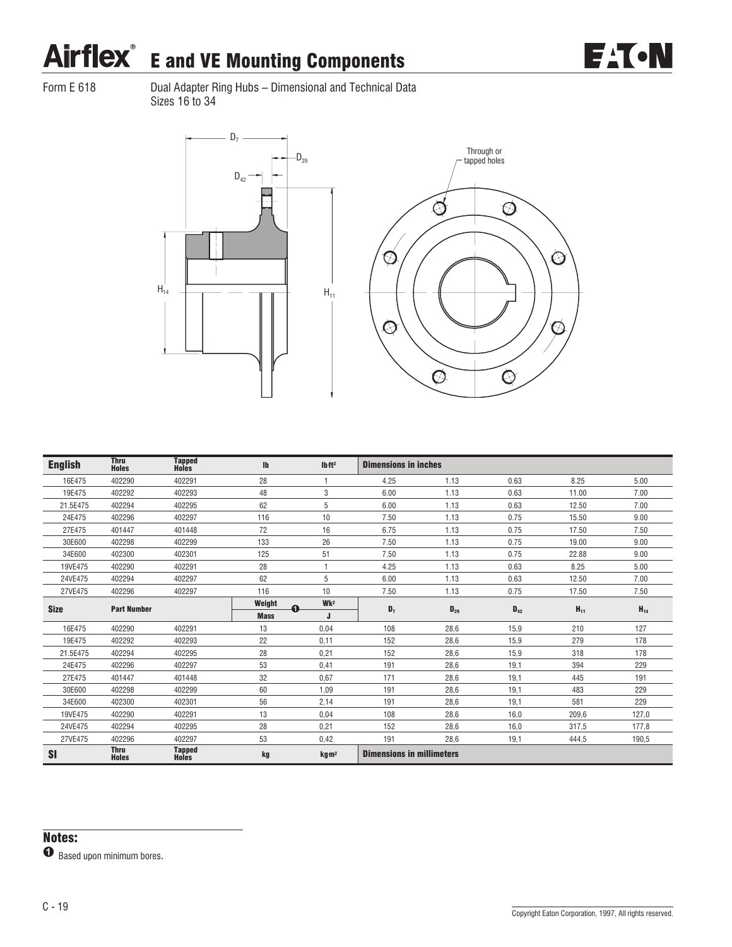

Form E 618 Dual Adapter Ring Hubs – Dimensional and Technical Data Sizes 16 to 34





| <b>English</b> | <b>Thru</b><br><b>Holes</b> | <b>Tapped</b><br>Holes        | $\mathsf{I}\mathsf{b}$ | Ibft <sup>2</sup> | <b>Dimensions in inches</b>      |          |          |          |          |
|----------------|-----------------------------|-------------------------------|------------------------|-------------------|----------------------------------|----------|----------|----------|----------|
| 16E475         | 402290                      | 402291                        | 28                     |                   | 4.25                             | 1.13     | 0.63     | 8.25     | 5.00     |
| 19E475         | 402292                      | 402293                        | 48                     | 3                 | 6.00                             | 1.13     | 0.63     | 11.00    | 7.00     |
| 21.5E475       | 402294                      | 402295                        | 62                     | 5                 | 6.00                             | 1.13     | 0.63     | 12.50    | 7.00     |
| 24E475         | 402296                      | 402297                        | 116                    | 10                | 7.50                             | 1.13     | 0.75     | 15.50    | 9.00     |
| 27E475         | 401447                      | 401448                        | 72                     | 16                | 6.75                             | 1.13     | 0.75     | 17.50    | 7.50     |
| 30E600         | 402298                      | 402299                        | 133                    | 26                | 7.50                             | 1.13     | 0.75     | 19.00    | 9.00     |
| 34E600         | 402300                      | 402301                        | 125                    | 51                | 7.50                             | 1.13     | 0.75     | 22.88    | 9.00     |
| 19VE475        | 402290                      | 402291                        | 28                     |                   | 4.25                             | 1.13     | 0.63     | 8.25     | 5.00     |
| 24VE475        | 402294                      | 402297                        | 62                     | 5                 | 6.00                             | 1.13     | 0.63     | 12.50    | 7.00     |
| 27VE475        | 402296                      | 402297                        | 116                    | 10                | 7.50                             | 1.13     | 0.75     | 17.50    | 7.50     |
| <b>Size</b>    | <b>Part Number</b>          |                               | Weight<br>⋒            | Wk <sup>2</sup>   | $D_7$                            | $D_{29}$ | $D_{42}$ | $H_{11}$ | $H_{14}$ |
|                |                             |                               | <b>Mass</b>            |                   |                                  |          |          |          |          |
| 16E475         | 402290                      | 402291                        | 13                     | 0,04              | 108                              | 28,6     | 15,9     | 210      | 127      |
| 19E475         | 402292                      | 402293                        | 22                     | 0,11              | 152                              | 28,6     | 15,9     | 279      | 178      |
| 21.5E475       | 402294                      | 402295                        | 28                     | 0,21              | 152                              | 28,6     | 15,9     | 318      | 178      |
| 24E475         | 402296                      | 402297                        | 53                     | 0,41              | 191                              | 28,6     | 19,1     | 394      | 229      |
| 27E475         | 401447                      | 401448                        | 32                     | 0,67              | 171                              | 28,6     | 19,1     | 445      | 191      |
| 30E600         | 402298                      | 402299                        | 60                     | 1.09              | 191                              | 28,6     | 19,1     | 483      | 229      |
| 34E600         | 402300                      | 402301                        | 56                     | 2,14              | 191                              | 28,6     | 19,1     | 581      | 229      |
| 19VE475        | 402290                      | 402291                        | 13                     | 0.04              | 108                              | 28.6     | 16.0     | 209.6    | 127.0    |
| 24VE475        | 402294                      | 402295                        | 28                     | 0.21              | 152                              | 28.6     | 16.0     | 317,5    | 177.8    |
| 27VE475        | 402296                      | 402297                        | 53                     | 0.42              | 191                              | 28.6     | 19,1     | 444,5    | 190,5    |
| SI             | <b>Thru</b><br><b>Holes</b> | <b>Tapped</b><br><b>Holes</b> | kg                     | kg m <sup>2</sup> | <b>Dimensions in millimeters</b> |          |          |          |          |

 $\bullet$  Based upon minimum bores.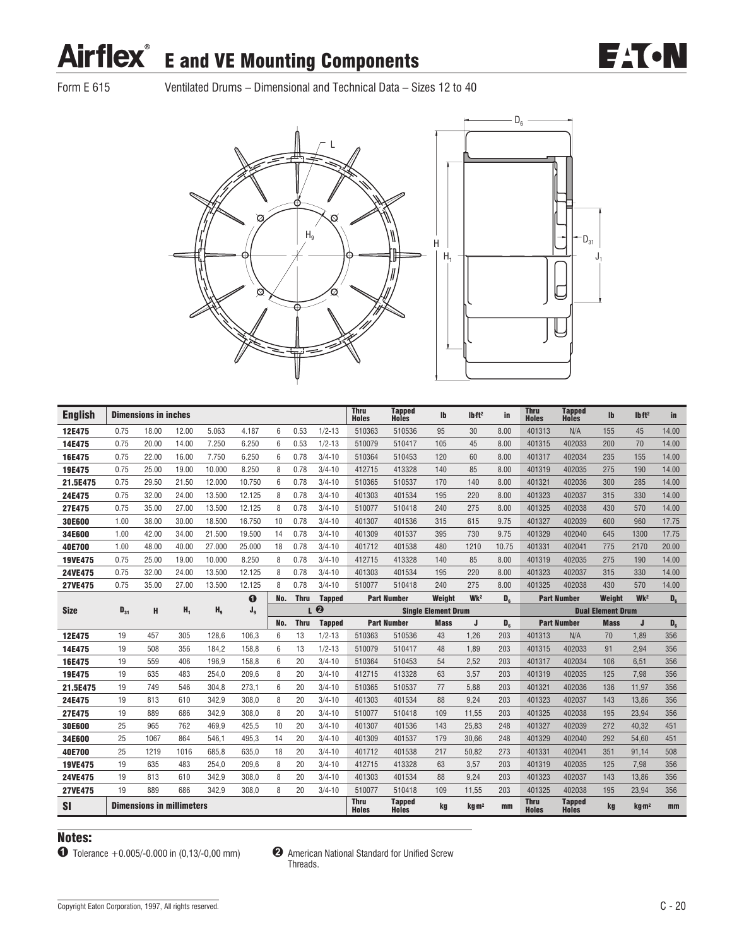**EAT-N** 

 $D_{31}$ J1

C

 $D<sub>6</sub>$ 

Form E 615 Ventilated Drums – Dimensional and Technical Data – Sizes 12 to 40



| <b>English</b> |          | <b>Dimensions in inches</b>      |                |                |                |     |             |                  | <b>Thru</b><br><b>Holes</b> | <b>Tapped</b><br>Holes | Ib                         | Ibft <sup>2</sup> | in             | <b>Thru</b><br><b>Holes</b> | <b>Tapped</b><br><b>Holes</b> | $\mathbf{I}$             | Ibft <sup>2</sup> | in             |
|----------------|----------|----------------------------------|----------------|----------------|----------------|-----|-------------|------------------|-----------------------------|------------------------|----------------------------|-------------------|----------------|-----------------------------|-------------------------------|--------------------------|-------------------|----------------|
| 12E475         | 0.75     | 18.00                            | 12.00          | 5.063          | 4.187          | 6   | 0.53        | $1/2 - 13$       | 510363                      | 510536                 | 95                         | 30                | 8.00           | 401313                      | N/A                           | 155                      | 45                | 14.00          |
| 14E475         | 0.75     | 20.00                            | 14.00          | 7.250          | 6.250          | 6   | 0.53        | $1/2 - 13$       | 510079                      | 510417                 | 105                        | 45                | 8.00           | 401315                      | 402033                        | 200                      | 70                | 14.00          |
| 16E475         | 0.75     | 22.00                            | 16.00          | 7.750          | 6.250          | 6   | 0.78        | $3/4 - 10$       | 510364                      | 510453                 | 120                        | 60                | 8.00           | 401317                      | 402034                        | 235                      | 155               | 14.00          |
| 19E475         | 0.75     | 25.00                            | 19.00          | 10.000         | 8.250          | 8   | 0.78        | $3/4 - 10$       | 412715                      | 413328                 | 140                        | 85                | 8.00           | 401319                      | 402035                        | 275                      | 190               | 14.00          |
| 21.5E475       | 0.75     | 29.50                            | 21.50          | 12.000         | 10.750         | 6   | 0.78        | $3/4 - 10$       | 510365                      | 510537                 | 170                        | 140               | 8.00           | 401321                      | 402036                        | 300                      | 285               | 14.00          |
| 24E475         | 0.75     | 32.00                            | 24.00          | 13.500         | 12.125         | 8   | 0.78        | $3/4 - 10$       | 401303                      | 401534                 | 195                        | 220               | 8.00           | 401323                      | 402037                        | 315                      | 330               | 14.00          |
| 27E475         | 0.75     | 35.00                            | 27.00          | 13.500         | 12.125         | 8   | 0.78        | $3/4 - 10$       | 510077                      | 510418                 | 240                        | 275               | 8.00           | 401325                      | 402038                        | 430                      | 570               | 14.00          |
| 30E600         | 1.00     | 38.00                            | 30.00          | 18.500         | 16.750         | 10  | 0.78        | $3/4 - 10$       | 401307                      | 401536                 | 315                        | 615               | 9.75           | 401327                      | 402039                        | 600                      | 960               | 17.75          |
| 34E600         | 1.00     | 42.00                            | 34.00          | 21.500         | 19.500         | 14  | 0.78        | $3/4 - 10$       | 401309                      | 401537                 | 395                        | 730               | 9.75           | 401329                      | 402040                        | 645                      | 1300              | 17.75          |
| 40E700         | 1.00     | 48.00                            | 40.00          | 27,000         | 25.000         | 18  | 0.78        | $3/4 - 10$       | 401712                      | 401538                 | 480                        | 1210              | 10.75          | 401331                      | 402041                        | 775                      | 2170              | 20.00          |
| <b>19VE475</b> | 0.75     | 25.00                            | 19.00          | 10.000         | 8.250          | 8   | 0.78        | $3/4 - 10$       | 412715                      | 413328                 | 140                        | 85                | 8.00           | 401319                      | 402035                        | 275                      | 190               | 14.00          |
| 24VE475        | 0.75     | 32.00                            | 24.00          | 13.500         | 12.125         | 8   | 0.78        | $3/4 - 10$       | 401303                      | 401534                 | 195                        | 220               | 8.00           | 401323                      | 402037                        | 315                      | 330               | 14.00          |
| <b>27VE475</b> | 0.75     | 35.00                            | 27.00          | 13.500         | 12.125         | 8   | 0.78        | $3/4 - 10$       | 510077                      | 510418                 | 240                        | 275               | 8.00           | 401325                      | 402038                        | 430                      | 570               | 14.00          |
|                |          |                                  |                |                | ➊              | No. | <b>Thru</b> | <b>Tapped</b>    |                             | <b>Part Number</b>     | Weight                     | Wk <sup>2</sup>   | D <sub>s</sub> |                             | <b>Part Number</b>            | Weight                   | Wk <sup>2</sup>   | $\mathbf{D}_6$ |
| <b>Size</b>    | $D_{31}$ | н                                | H <sub>1</sub> | H <sub>q</sub> | J <sub>9</sub> |     | L           | $\boldsymbol{Q}$ |                             |                        | <b>Single Element Drum</b> |                   |                |                             |                               | <b>Dual Element Drum</b> |                   |                |
|                |          |                                  |                |                |                | No. | <b>Thru</b> | <b>Tapped</b>    |                             | <b>Part Number</b>     | <b>Mass</b>                | J                 | D <sub>c</sub> |                             | <b>Part Number</b>            | <b>Mass</b>              | J                 | $D_6$          |
| 12E475         | 19       | 457                              | 305            | 128.6          | 106.3          | 6   | 13          | $1/2 - 13$       | 510363                      | 510536                 | 43                         | 1.26              | 203            | 401313                      | N/A                           | 70                       | 1.89              | 356            |
| 14E475         | 19       | 508                              | 356            | 184.2          | 158.8          | 6   | 13          | $1/2 - 13$       | 510079                      | 510417                 | 48                         | 1.89              | 203            | 401315                      | 402033                        | 91                       | 2.94              | 356            |
| 16E475         | 19       | 559                              | 406            | 196.9          | 158.8          | 6   | 20          | $3/4 - 10$       | 510364                      | 510453                 | 54                         | 2.52              | 203            | 401317                      | 402034                        | 106                      | 6.51              | 356            |
| 19E475         | 19       | 635                              | 483            | 254.0          | 209.6          | 8   | 20          | $3/4 - 10$       | 412715                      | 413328                 | 63                         | 3,57              | 203            | 401319                      | 402035                        | 125                      | 7,98              | 356            |
| 21.5E475       | 19       | 749                              | 546            | 304,8          | 273.1          | 6   | 20          | $3/4 - 10$       | 510365                      | 510537                 | 77                         | 5,88              | 203            | 401321                      | 402036                        | 136                      | 11.97             | 356            |
| 24E475         | 19       | 813                              | 610            | 342,9          | 308,0          | 8   | 20          | $3/4 - 10$       | 401303                      | 401534                 | 88                         | 9.24              | 203            | 401323                      | 402037                        | 143                      | 13.86             | 356            |
| 27E475         | 19       | 889                              | 686            | 342.9          | 308.0          | 8   | 20          | $3/4 - 10$       | 510077                      | 510418                 | 109                        | 11.55             | 203            | 401325                      | 402038                        | 195                      | 23,94             | 356            |
| 30E600         | 25       | 965                              | 762            | 469.9          | 425.5          | 10  | 20          | $3/4 - 10$       | 401307                      | 401536                 | 143                        | 25,83             | 248            | 401327                      | 402039                        | 272                      | 40.32             | 451            |
| 34E600         | 25       | 1067                             | 864            | 546,1          | 495,3          | 14  | 20          | $3/4 - 10$       | 401309                      | 401537                 | 179                        | 30,66             | 248            | 401329                      | 402040                        | 292                      | 54,60             | 451            |
| 40E700         | 25       | 1219                             | 1016           | 685.8          | 635.0          | 18  | 20          | $3/4 - 10$       | 401712                      | 401538                 | 217                        | 50.82             | 273            | 401331                      | 402041                        | 351                      | 91,14             | 508            |
| <b>19VE475</b> | 19       | 635                              | 483            | 254.0          | 209.6          | 8   | 20          | $3/4 - 10$       | 412715                      | 413328                 | 63                         | 3.57              | 203            | 401319                      | 402035                        | 125                      | 7.98              | 356            |
| 24VE475        | 19       | 813                              | 610            | 342,9          | 308,0          | 8   | 20          | $3/4 - 10$       | 401303                      | 401534                 | 88                         | 9,24              | 203            | 401323                      | 402037                        | 143                      | 13,86             | 356            |
| <b>27VE475</b> | 19       | 889                              | 686            | 342.9          | 308.0          | 8   | 20          | $3/4 - 10$       | 510077                      | 510418                 | 109                        | 11,55             | 203            | 401325                      | 402038                        | 195                      | 23,94             | 356            |
| SI             |          | <b>Dimensions in millimeters</b> |                |                |                |     |             |                  | Thru<br><b>Holes</b>        | <b>Tapped</b><br>Holes | kg                         | kg m <sup>2</sup> | mm             | Thru<br><b>Holes</b>        | Tapped<br><b>Holes</b>        | kg                       | kg m <sup>2</sup> | mm             |

### Notes:



Threads.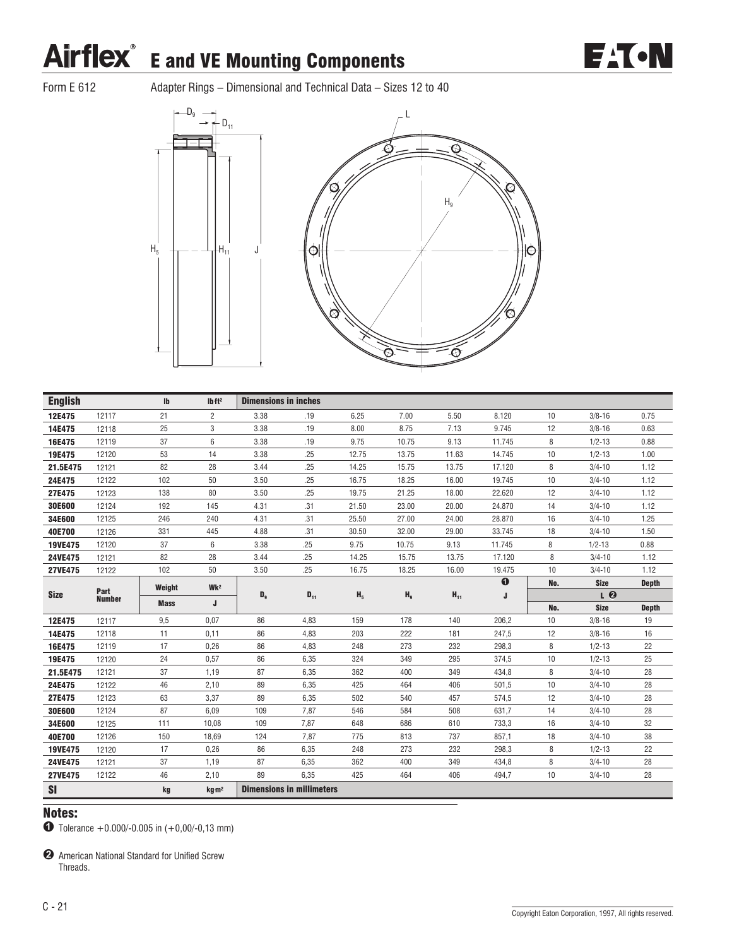

Form E 612 Adapter Rings – Dimensional and Technical Data – Sizes 12 to 40



| <b>English</b> |               | $\mathbf{I}$ | Ibft <sup>2</sup> | <b>Dimensions in inches</b> |                                  |                |                |          |          |     |             |              |
|----------------|---------------|--------------|-------------------|-----------------------------|----------------------------------|----------------|----------------|----------|----------|-----|-------------|--------------|
| 12E475         | 12117         | 21           | $\overline{2}$    | 3.38                        | .19                              | 6.25           | 7.00           | 5.50     | 8.120    | 10  | $3/8 - 16$  | 0.75         |
| 14E475         | 12118         | 25           | 3                 | 3.38                        | .19                              | 8.00           | 8.75           | 7.13     | 9.745    | 12  | $3/8 - 16$  | 0.63         |
| 16E475         | 12119         | 37           | $6\,$             | 3.38                        | .19                              | 9.75           | 10.75          | 9.13     | 11.745   | 8   | $1/2 - 13$  | 0.88         |
| 19E475         | 12120         | 53           | 14                | 3.38                        | .25                              | 12.75          | 13.75          | 11.63    | 14.745   | 10  | $1/2 - 13$  | 1.00         |
| 21.5E475       | 12121         | 82           | 28                | 3.44                        | .25                              | 14.25          | 15.75          | 13.75    | 17.120   | 8   | $3/4 - 10$  | 1.12         |
| 24E475         | 12122         | 102          | 50                | 3.50                        | .25                              | 16.75          | 18.25          | 16.00    | 19.745   | 10  | $3/4 - 10$  | 1.12         |
| 27E475         | 12123         | 138          | 80                | 3.50                        | .25                              | 19.75          | 21.25          | 18.00    | 22.620   | 12  | $3/4 - 10$  | 1.12         |
| 30E600         | 12124         | 192          | 145               | 4.31                        | .31                              | 21.50          | 23.00          | 20.00    | 24.870   | 14  | $3/4 - 10$  | 1.12         |
| 34E600         | 12125         | 246          | 240               | 4.31                        | .31                              | 25.50          | 27.00          | 24.00    | 28.870   | 16  | $3/4 - 10$  | 1.25         |
| 40E700         | 12126         | 331          | 445               | 4.88                        | .31                              | 30.50          | 32.00          | 29.00    | 33.745   | 18  | $3/4 - 10$  | 1.50         |
| 19VE475        | 12120         | 37           | $6\,$             | 3.38                        | .25                              | 9.75           | 10.75          | 9.13     | 11.745   | 8   | $1/2 - 13$  | 0.88         |
| 24VE475        | 12121         | 82           | 28                | 3.44                        | .25                              | 14.25          | 15.75          | 13.75    | 17.120   | 8   | $3/4 - 10$  | 1.12         |
| 27VE475        | 12122         | 102          | 50                | 3.50                        | .25                              | 16.75          | 18.25          | 16.00    | 19.475   | 10  | $3/4 - 10$  | 1.12         |
|                | Part          | Weight       | Wk <sup>2</sup>   |                             |                                  |                |                |          | $\bf{0}$ | No. | <b>Size</b> | <b>Depth</b> |
| <b>Size</b>    | <b>Number</b> | <b>Mass</b>  | J                 | $\mathbf{D}_9$              | $D_{11}$                         | H <sub>5</sub> | H <sub>9</sub> | $H_{11}$ | J        |     | LQ          |              |
|                |               |              |                   |                             |                                  |                |                |          |          | No. | <b>Size</b> | <b>Depth</b> |
| 12E475         | 12117         | 9,5          | 0,07              | 86                          | 4,83                             | 159            | 178            | 140      | 206.2    | 10  | $3/8 - 16$  | 19           |
| 14E475         | 12118         | 11           | 0,11              | 86                          | 4,83                             | 203            | 222            | 181      | 247,5    | 12  | $3/8 - 16$  | 16           |
| 16E475         | 12119         | 17           | 0,26              | 86                          | 4,83                             | 248            | 273            | 232      | 298,3    | 8   | $1/2 - 13$  | 22           |
| 19E475         | 12120         | 24           | 0,57              | 86                          | 6,35                             | 324            | 349            | 295      | 374,5    | 10  | $1/2 - 13$  | 25           |
| 21.5E475       | 12121         | 37           | 1,19              | 87                          | 6,35                             | 362            | 400            | 349      | 434,8    | 8   | $3/4 - 10$  | 28           |
| 24E475         | 12122         | 46           | 2,10              | 89                          | 6,35                             | 425            | 464            | 406      | 501,5    | 10  | $3/4 - 10$  | 28           |
| 27E475         | 12123         | 63           | 3,37              | 89                          | 6,35                             | 502            | 540            | 457      | 574,5    | 12  | $3/4 - 10$  | 28           |
| 30E600         | 12124         | 87           | 6,09              | 109                         | 7,87                             | 546            | 584            | 508      | 631,7    | 14  | $3/4 - 10$  | 28           |
| 34E600         | 12125         | 111          | 10,08             | 109                         | 7,87                             | 648            | 686            | 610      | 733,3    | 16  | $3/4 - 10$  | 32           |
| 40E700         | 12126         | 150          | 18,69             | 124                         | 7,87                             | 775            | 813            | 737      | 857,1    | 18  | $3/4 - 10$  | 38           |
| <b>19VE475</b> | 12120         | 17           | 0,26              | 86                          | 6,35                             | 248            | 273            | 232      | 298,3    | 8   | $1/2 - 13$  | 22           |
| 24VE475        | 12121         | 37           | 1,19              | 87                          | 6,35                             | 362            | 400            | 349      | 434,8    | 8   | $3/4 - 10$  | 28           |
| <b>27VE475</b> | 12122         | 46           | 2,10              | 89                          | 6,35                             | 425            | 464            | 406      | 494,7    | 10  | $3/4 - 10$  | 28           |
| <b>SI</b>      |               | kg           | kg m <sup>2</sup> |                             | <b>Dimensions in millimeters</b> |                |                |          |          |     |             |              |

### Notes:

 $\bullet$  Tolerance +0.000/-0.005 in (+0,00/-0,13 mm)

**2** American National Standard for Unified Screw Threads.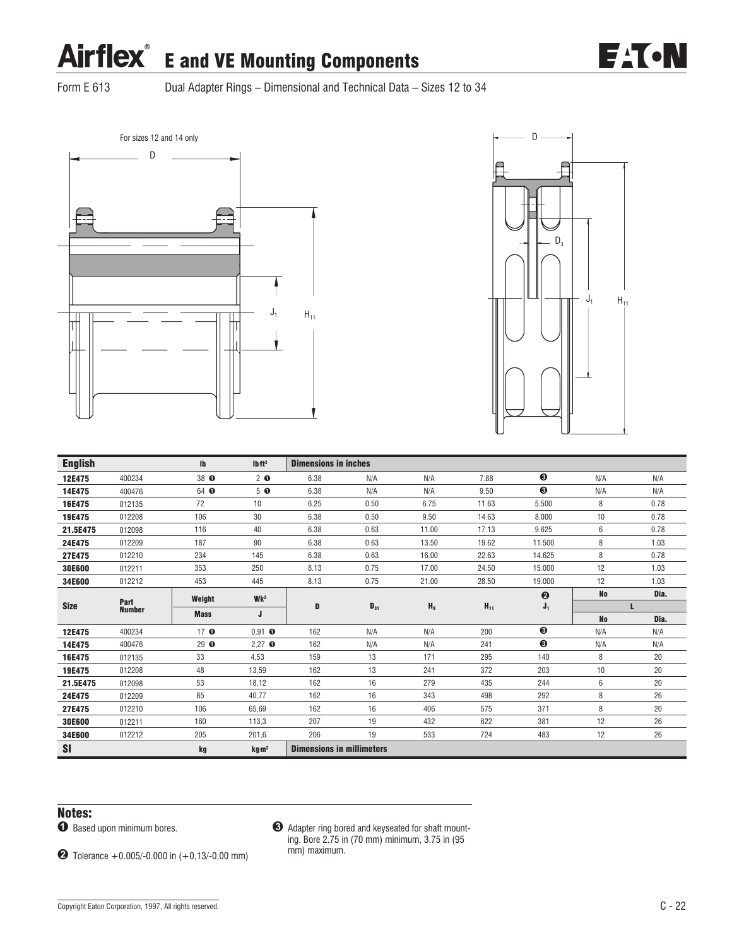

Form E 613 Dual Adapter Rings – Dimensional and Technical Data – Sizes 12 to 34





| <b>English</b> |               | $\mathbf{I}$    | Ibft <sup>2</sup>           | <b>Dimensions in inches</b>      |          |                |          |                  |           |      |
|----------------|---------------|-----------------|-----------------------------|----------------------------------|----------|----------------|----------|------------------|-----------|------|
| 12E475         | 400234        | 38 O            | $2$ 0                       | 6.38                             | N/A      | N/A            | 7.88     | ❸                | N/A       | N/A  |
| 14E475         | 400476        | 64 0            | 5 <sub>o</sub>              | 6.38                             | N/A      | N/A            | 9.50     | ❸                | N/A       | N/A  |
| 16E475         | 012135        | 72              | 10                          | 6.25                             | 0.50     | 6.75           | 11.63    | 5.500            | 8         | 0.78 |
| 19E475         | 012208        | 106             | 30                          | 6.38                             | 0.50     | 9.50           | 14.63    | 8.000            | 10        | 0.78 |
| 21.5E475       | 012098        | 116             | 40                          | 6.38                             | 0.63     | 11.00          | 17.13    | 9.625            | 6         | 0.78 |
| 24E475         | 012209        | 187             | 90                          | 6.38                             | 0.63     | 13.50          | 19.62    | 11.500           | 8         | 1.03 |
| 27E475         | 012210        | 234             | 145                         | 6.38                             | 0.63     | 16.00          | 22.63    | 14.625           | 8         | 0.78 |
| 30E600         | 012211        | 353             | 250                         | 8.13                             | 0.75     | 17.00          | 24.50    | 15.000           | 12        | 1.03 |
| 34E600         | 012212        | 453             | 445                         | 8.13                             | 0.75     | 21.00          | 28.50    | 19.000           | 12        | 1.03 |
|                | Part          | Weight          | Wk <sup>2</sup>             |                                  |          |                |          | $\boldsymbol{Q}$ | <b>No</b> | Dia. |
| <b>Size</b>    | <b>Number</b> | <b>Mass</b>     |                             | D                                | $D_{31}$ | H <sub>9</sub> | $H_{11}$ | $J_1$            |           | L    |
|                |               |                 | J                           |                                  |          |                |          |                  | <b>No</b> | Dia. |
| 12E475         | 400234        | 17 <sub>o</sub> | $0,91$ $\bullet$            | 162                              | N/A      | N/A            | 200      | $\bullet$        | N/A       | N/A  |
| 14E475         | 400476        | 29 $\bullet$    | $2,27$ $\bullet$            | 162                              | N/A      | N/A            | 241      | ❸                | N/A       | N/A  |
| 16E475         | 012135        | 33              | 4,53                        | 159                              | 13       | 171            | 295      | 140              | 8         | 20   |
| 19E475         | 012208        | 48              | 13,59                       | 162                              | 13       | 241            | 372      | 203              | 10        | 20   |
| 21.5E475       | 012098        | 53              | 18,12                       | 162                              | 16       | 279            | 435      | 244              | 6         | 20   |
| 24E475         | 012209        | 85              | 40.77                       | 162                              | 16       | 343            | 498      | 292              | 8         | 26   |
| 27E475         | 012210        | 106             | 65.69                       | 162                              | 16       | 406            | 575      | 371              | 8         | 20   |
| 30E600         | 012211        | 160             | 113,3                       | 207                              | 19       | 432            | 622      | 381              | 12        | 26   |
| 34E600         | 012212        | 205             | 201,6                       | 206                              | 19       | 533            | 724      | 483              | 12        | 26   |
| <b>SI</b>      |               | kg              | kg <sub>m<sup>2</sup></sub> | <b>Dimensions in millimeters</b> |          |                |          |                  |           |      |

### Notes:

 $\bullet$  Based upon minimum bores.

& Adapter ring bored and keyseated for shaft mounting. Bore 2.75 in (70 mm) minimum, 3.75 in (95 mm) maximum.

 $\bullet$  Tolerance +0.005/-0.000 in (+0,13/-0,00 mm)